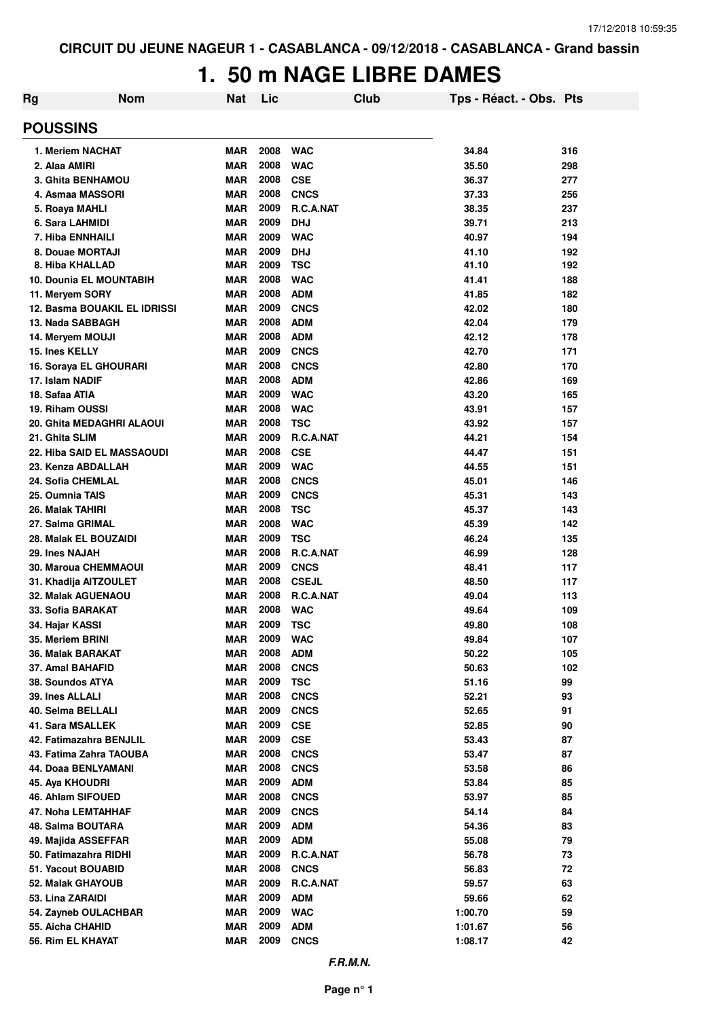### **1. 50 m NAGE LIBRE DAMES**

| Rg                                | <b>Nom</b> | <b>Nat</b> | Lic  |              | Club | Tps - Réact. - Obs. Pts |     |
|-----------------------------------|------------|------------|------|--------------|------|-------------------------|-----|
| <b>POUSSINS</b>                   |            |            |      |              |      |                         |     |
| 1. Meriem NACHAT                  |            | MAR        | 2008 | <b>WAC</b>   |      | 34.84                   | 316 |
| 2. Alaa AMIRI                     |            | <b>MAR</b> | 2008 | <b>WAC</b>   |      | 35.50                   | 298 |
| 3. Ghita BENHAMOU                 |            | <b>MAR</b> | 2008 | <b>CSE</b>   |      | 36.37                   | 277 |
| 4. Asmaa MASSORI                  |            | <b>MAR</b> | 2008 | <b>CNCS</b>  |      | 37.33                   | 256 |
| 5. Roaya MAHLI                    |            | <b>MAR</b> | 2009 | R.C.A.NAT    |      | 38.35                   | 237 |
| 6. Sara LAHMIDI                   |            | <b>MAR</b> | 2009 | <b>DHJ</b>   |      | 39.71                   | 213 |
| 7. Hiba ENNHAILI                  |            | <b>MAR</b> | 2009 | <b>WAC</b>   |      | 40.97                   | 194 |
| 8. Douae MORTAJI                  |            | <b>MAR</b> | 2009 | <b>DHJ</b>   |      | 41.10                   | 192 |
| 8. Hiba KHALLAD                   |            | <b>MAR</b> | 2009 | <b>TSC</b>   |      | 41.10                   | 192 |
| <b>10. Dounia EL MOUNTABIH</b>    |            | <b>MAR</b> | 2008 | <b>WAC</b>   |      | 41.41                   | 188 |
| 11. Meryem SORY                   |            | <b>MAR</b> | 2008 | <b>ADM</b>   |      | 41.85                   | 182 |
| 12. Basma BOUAKIL EL IDRISSI      |            | <b>MAR</b> | 2009 | <b>CNCS</b>  |      | 42.02                   | 180 |
| 13. Nada SABBAGH                  |            | <b>MAR</b> | 2008 | <b>ADM</b>   |      | 42.04                   | 179 |
| 14. Meryem MOUJI                  |            | <b>MAR</b> | 2008 | <b>ADM</b>   |      | 42.12                   | 178 |
| 15. Ines KELLY                    |            | <b>MAR</b> | 2009 | <b>CNCS</b>  |      | 42.70                   | 171 |
| 16. Soraya EL GHOURARI            |            | <b>MAR</b> | 2008 | <b>CNCS</b>  |      | 42.80                   | 170 |
| 17. Islam NADIF                   |            | <b>MAR</b> | 2008 | <b>ADM</b>   |      | 42.86                   | 169 |
| 18. Safaa ATIA                    |            | <b>MAR</b> | 2009 | <b>WAC</b>   |      | 43.20                   | 165 |
| 19. Riham OUSSI                   |            | <b>MAR</b> | 2008 | <b>WAC</b>   |      | 43.91                   | 157 |
| 20. Ghita MEDAGHRI ALAOUI         |            | <b>MAR</b> | 2008 | <b>TSC</b>   |      | 43.92                   | 157 |
| 21. Ghita SLIM                    |            | <b>MAR</b> | 2009 | R.C.A.NAT    |      | 44.21                   | 154 |
| <b>22. Hiba SAID EL MASSAOUDI</b> |            | <b>MAR</b> | 2008 | <b>CSE</b>   |      | 44.47                   | 151 |
| 23. Kenza ABDALLAH                |            | <b>MAR</b> | 2009 | <b>WAC</b>   |      | 44.55                   | 151 |
| 24. Sofia CHEMLAL                 |            | <b>MAR</b> | 2008 | <b>CNCS</b>  |      | 45.01                   | 146 |
| 25. Oumnia TAIS                   |            | <b>MAR</b> | 2009 | <b>CNCS</b>  |      | 45.31                   | 143 |
| 26. Malak TAHIRI                  |            | <b>MAR</b> | 2008 | <b>TSC</b>   |      | 45.37                   | 143 |
| 27. Salma GRIMAL                  |            | <b>MAR</b> | 2008 | <b>WAC</b>   |      | 45.39                   | 142 |
| 28. Malak EL BOUZAIDI             |            | <b>MAR</b> | 2009 | <b>TSC</b>   |      | 46.24                   | 135 |
| 29. Ines NAJAH                    |            | <b>MAR</b> | 2008 | R.C.A.NAT    |      | 46.99                   | 128 |
| 30. Maroua CHEMMAOUI              |            | <b>MAR</b> | 2009 | <b>CNCS</b>  |      | 48.41                   | 117 |
| 31. Khadija AITZOULET             |            | <b>MAR</b> | 2008 | <b>CSEJL</b> |      | 48.50                   | 117 |
| <b>32. Malak AGUENAOU</b>         |            | <b>MAR</b> | 2008 | R.C.A.NAT    |      | 49.04                   | 113 |
| 33. Sofia BARAKAT                 |            | <b>MAR</b> | 2008 | <b>WAC</b>   |      | 49.64                   | 109 |
|                                   |            | <b>MAR</b> | 2009 | <b>TSC</b>   |      |                         |     |
| 34. Hajar KASSI                   |            |            | 2009 |              |      | 49.80                   | 108 |
| 35. Meriem BRINI                  |            | <b>MAR</b> | 2008 | <b>WAC</b>   |      | 49.84                   | 107 |
| 36. Malak BARAKAT                 |            | <b>MAR</b> |      | <b>ADM</b>   |      | 50.22                   | 105 |
| 37. Amal BAHAFID                  |            | <b>MAR</b> | 2008 | <b>CNCS</b>  |      | 50.63                   | 102 |
| 38. Soundos ATYA                  |            | <b>MAR</b> | 2009 | <b>TSC</b>   |      | 51.16                   | 99  |
| 39. Ines ALLALI                   |            | <b>MAR</b> | 2008 | <b>CNCS</b>  |      | 52.21                   | 93  |
| 40. Selma BELLALI                 |            | <b>MAR</b> | 2009 | <b>CNCS</b>  |      | 52.65                   | 91  |
| 41. Sara MSALLEK                  |            | <b>MAR</b> | 2009 | <b>CSE</b>   |      | 52.85                   | 90  |
| 42. Fatimazahra BENJLIL           |            | <b>MAR</b> | 2009 | <b>CSE</b>   |      | 53.43                   | 87  |
| 43. Fatima Zahra TAOUBA           |            | <b>MAR</b> | 2008 | <b>CNCS</b>  |      | 53.47                   | 87  |
| 44. Doaa BENLYAMANI               |            | <b>MAR</b> | 2008 | <b>CNCS</b>  |      | 53.58                   | 86  |
| 45. Aya KHOUDRI                   |            | <b>MAR</b> | 2009 | <b>ADM</b>   |      | 53.84                   | 85  |
| 46. Ahlam SIFOUED                 |            | <b>MAR</b> | 2008 | <b>CNCS</b>  |      | 53.97                   | 85  |
| 47. Noha LEMTAHHAF                |            | <b>MAR</b> | 2009 | <b>CNCS</b>  |      | 54.14                   | 84  |
| 48. Salma BOUTARA                 |            | <b>MAR</b> | 2009 | <b>ADM</b>   |      | 54.36                   | 83  |
| 49. Majida ASSEFFAR               |            | <b>MAR</b> | 2009 | <b>ADM</b>   |      | 55.08                   | 79  |
| 50. Fatimazahra RIDHI             |            | <b>MAR</b> | 2009 | R.C.A.NAT    |      | 56.78                   | 73  |
| 51. Yacout BOUABID                |            | <b>MAR</b> | 2008 | <b>CNCS</b>  |      | 56.83                   | 72  |
| 52. Malak GHAYOUB                 |            | <b>MAR</b> | 2009 | R.C.A.NAT    |      | 59.57                   | 63  |
| 53. Lina ZARAIDI                  |            | <b>MAR</b> | 2009 | <b>ADM</b>   |      | 59.66                   | 62  |
| 54. Zayneb OULACHBAR              |            | <b>MAR</b> | 2009 | <b>WAC</b>   |      | 1:00.70                 | 59  |
| 55. Aicha CHAHID                  |            | <b>MAR</b> | 2009 | <b>ADM</b>   |      | 1:01.67                 | 56  |
| 56. Rim EL KHAYAT                 |            | MAR        | 2009 | <b>CNCS</b>  |      | 1:08.17                 | 42  |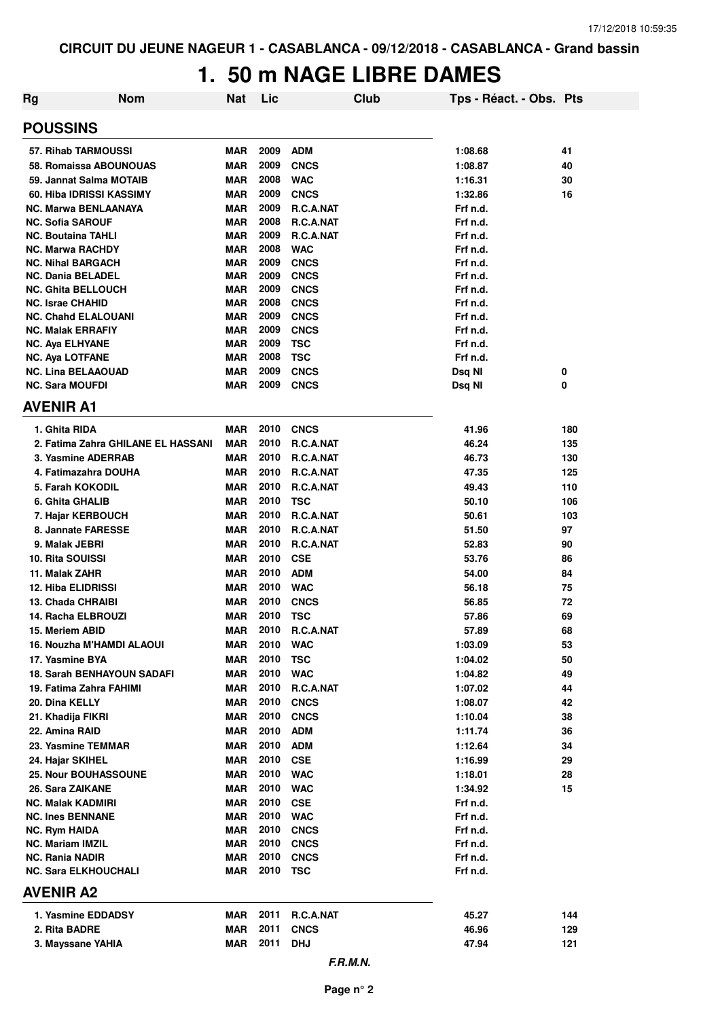# **1. 50 m NAGE LIBRE DAMES**

| <b>Rg</b>                                             | <b>Nom</b>                         | Nat                      | Lic          |                            | <b>Club</b> | Tps - Réact. - Obs. Pts |     |
|-------------------------------------------------------|------------------------------------|--------------------------|--------------|----------------------------|-------------|-------------------------|-----|
| <b>POUSSINS</b>                                       |                                    |                          |              |                            |             |                         |     |
| 57. Rihab TARMOUSSI                                   |                                    | <b>MAR</b>               | 2009         | <b>ADM</b>                 |             | 1:08.68                 | 41  |
|                                                       | 58. Romaissa ABOUNOUAS             | <b>MAR</b>               | 2009         | <b>CNCS</b>                |             | 1:08.87                 | 40  |
| 59. Jannat Salma MOTAIB                               |                                    | <b>MAR</b>               | 2008         | <b>WAC</b>                 |             | 1:16.31                 | 30  |
| 60. Hiba IDRISSI KASSIMY                              |                                    | <b>MAR</b>               | 2009         | <b>CNCS</b>                |             | 1:32.86                 | 16  |
| <b>NC. Marwa BENLAANAYA</b>                           |                                    | <b>MAR</b>               | 2009         | <b>R.C.A.NAT</b>           |             | Frf n.d.                |     |
| <b>NC. Sofia SAROUF</b>                               |                                    | <b>MAR</b>               | 2008         | R.C.A.NAT                  |             | Frf n.d.                |     |
| <b>NC. Boutaina TAHLI</b>                             |                                    | <b>MAR</b>               | 2009         | <b>R.C.A.NAT</b>           |             | Frf n.d.                |     |
| <b>NC. Marwa RACHDY</b>                               |                                    | <b>MAR</b>               | 2008         | <b>WAC</b>                 |             | Frf n.d.                |     |
| <b>NC. Nihal BARGACH</b>                              |                                    | <b>MAR</b>               | 2009         | <b>CNCS</b>                |             | Frf n.d.                |     |
| <b>NC. Dania BELADEL</b>                              |                                    | <b>MAR</b>               | 2009         | <b>CNCS</b>                |             | Frf n.d.                |     |
| <b>NC. Ghita BELLOUCH</b>                             |                                    | <b>MAR</b>               | 2009         | <b>CNCS</b>                |             | Frf n.d.                |     |
| <b>NC. Israe CHAHID</b><br><b>NC. Chahd ELALOUANI</b> |                                    | <b>MAR</b><br><b>MAR</b> | 2008<br>2009 | <b>CNCS</b><br><b>CNCS</b> |             | Frf n.d.<br>Frf n.d.    |     |
| <b>NC. Malak ERRAFIY</b>                              |                                    | <b>MAR</b>               | 2009         | <b>CNCS</b>                |             | Frf n.d.                |     |
| <b>NC. Aya ELHYANE</b>                                |                                    | <b>MAR</b>               | 2009         | <b>TSC</b>                 |             | Frf n.d.                |     |
| <b>NC. Aya LOTFANE</b>                                |                                    | <b>MAR</b>               | 2008         | <b>TSC</b>                 |             | Frf n.d.                |     |
| <b>NC. Lina BELAAOUAD</b>                             |                                    | <b>MAR</b>               | 2009         | <b>CNCS</b>                |             | Dsq NI                  | 0   |
| <b>NC. Sara MOUFDI</b>                                |                                    | MAR                      | 2009         | <b>CNCS</b>                |             | Dsq NI                  | 0   |
| <b>AVENIR A1</b>                                      |                                    |                          |              |                            |             |                         |     |
| 1. Ghita RIDA                                         |                                    | <b>MAR</b>               | 2010         | <b>CNCS</b>                |             | 41.96                   | 180 |
|                                                       | 2. Fatima Zahra GHILANE EL HASSANI | <b>MAR</b>               | 2010         | R.C.A.NAT                  |             | 46.24                   | 135 |
| 3. Yasmine ADERRAB                                    |                                    | <b>MAR</b>               | 2010         | R.C.A.NAT                  |             | 46.73                   | 130 |
| 4. Fatimazahra DOUHA                                  |                                    | <b>MAR</b>               | 2010         | R.C.A.NAT                  |             | 47.35                   | 125 |
| 5. Farah KOKODIL                                      |                                    | <b>MAR</b>               | 2010         | R.C.A.NAT                  |             | 49.43                   | 110 |
| 6. Ghita GHALIB                                       |                                    | MAR                      | 2010         | <b>TSC</b>                 |             | 50.10                   | 106 |
| 7. Hajar KERBOUCH                                     |                                    | <b>MAR</b>               | 2010         | R.C.A.NAT                  |             | 50.61                   | 103 |
| 8. Jannate FARESSE                                    |                                    | <b>MAR</b>               | 2010         | R.C.A.NAT                  |             | 51.50                   | 97  |
| 9. Malak JEBRI                                        |                                    | <b>MAR</b>               | 2010         | R.C.A.NAT                  |             | 52.83                   | 90  |
| <b>10. Rita SOUISSI</b>                               |                                    | <b>MAR</b>               | 2010         | <b>CSE</b>                 |             | 53.76                   | 86  |
| 11. Malak ZAHR                                        |                                    | <b>MAR</b>               | 2010         | <b>ADM</b>                 |             | 54.00                   | 84  |
| <b>12. Hiba ELIDRISSI</b>                             |                                    | <b>MAR</b>               | 2010         | <b>WAC</b>                 |             | 56.18                   | 75  |
| 13. Chada CHRAIBI                                     |                                    | <b>MAR</b>               | 2010         | <b>CNCS</b>                |             | 56.85                   | 72  |
| 14. Racha ELBROUZI                                    |                                    | <b>MAR</b>               | 2010         | <b>TSC</b>                 |             | 57.86                   | 69  |
| 15. Meriem ABID                                       |                                    | <b>MAR</b>               | 2010         | R.C.A.NAT                  |             | 57.89                   | 68  |
|                                                       | 16. Nouzha M'HAMDI ALAOUI          | MAR                      | 2010         | <b>WAC</b>                 |             | 1:03.09                 | 53  |
| 17. Yasmine BYA                                       |                                    | MAR                      | 2010         | <b>TSC</b>                 |             | 1:04.02                 | 50  |
|                                                       | <b>18. Sarah BENHAYOUN SADAFI</b>  | <b>MAR</b>               | 2010         | <b>WAC</b>                 |             | 1:04.82                 | 49  |
| 19. Fatima Zahra FAHIMI                               |                                    | MAR                      | 2010         | <b>R.C.A.NAT</b>           |             | 1:07.02                 | 44  |
| 20. Dina KELLY                                        |                                    | MAR                      | 2010         | <b>CNCS</b>                |             | 1:08.07                 | 42  |
| 21. Khadija FIKRI                                     |                                    | MAR                      | 2010         | <b>CNCS</b>                |             | 1:10.04                 | 38  |
| 22. Amina RAID                                        |                                    | MAR                      | 2010         | <b>ADM</b>                 |             | 1:11.74                 | 36  |
| 23. Yasmine TEMMAR                                    |                                    | MAR                      | 2010         | <b>ADM</b>                 |             | 1:12.64                 | 34  |
| 24. Hajar SKIHEL                                      |                                    | MAR                      | 2010         | <b>CSE</b>                 |             | 1:16.99                 | 29  |
| 25. Nour BOUHASSOUNE                                  |                                    | MAR                      | 2010         | <b>WAC</b>                 |             | 1:18.01                 | 28  |
| 26. Sara ZAIKANE                                      |                                    | MAR                      | 2010         | <b>WAC</b>                 |             | 1:34.92                 | 15  |
| <b>NC. Malak KADMIRI</b>                              |                                    | <b>MAR</b>               | 2010         | <b>CSE</b>                 |             | Frf n.d.                |     |
| <b>NC. Ines BENNANE</b>                               |                                    | MAR                      | 2010         | <b>WAC</b>                 |             | Frf n.d.                |     |
| <b>NC. Rym HAIDA</b>                                  |                                    | MAR                      | 2010         | <b>CNCS</b>                |             | Frf n.d.                |     |
| <b>NC. Mariam IMZIL</b>                               |                                    | MAR<br><b>MAR</b>        | 2010<br>2010 | <b>CNCS</b><br><b>CNCS</b> |             | Frf n.d.<br>Frf n.d.    |     |
| <b>NC. Rania NADIR</b><br><b>NC. Sara ELKHOUCHALI</b> |                                    | MAR                      | 2010         | TSC                        |             | Frf n.d.                |     |
| <b>AVENIR A2</b>                                      |                                    |                          |              |                            |             |                         |     |
| 1. Yasmine EDDADSY                                    |                                    | MAR                      | 2011         | R.C.A.NAT                  |             | 45.27                   | 144 |
| 2. Rita BADRE                                         |                                    | MAR                      | 2011         | <b>CNCS</b>                |             | 46.96                   | 129 |
| 3. Mayssane YAHIA                                     |                                    | <b>MAR</b>               | 2011         | <b>DHJ</b>                 |             | 47.94                   | 121 |
|                                                       |                                    |                          |              |                            | F.R.M.N.    |                         |     |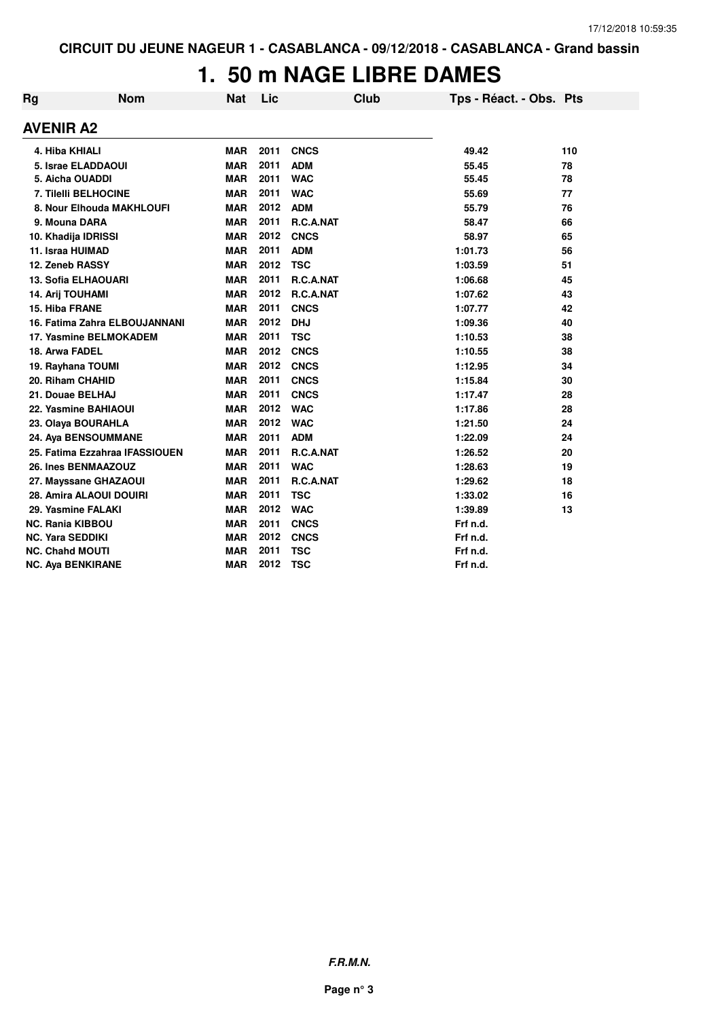#### **1. 50 m NAGE LIBRE DAMES**

| Rg                      | <b>Nom</b>                     | <b>Nat</b> | Lic  | Club        | Tps - Réact. - Obs. Pts |     |
|-------------------------|--------------------------------|------------|------|-------------|-------------------------|-----|
| AVENIR A2               |                                |            |      |             |                         |     |
|                         | 4. Hiba KHIALI                 | <b>MAR</b> | 2011 | <b>CNCS</b> | 49.42                   | 110 |
|                         | 5. Israe ELADDAOUI             | <b>MAR</b> | 2011 | <b>ADM</b>  | 55.45                   | 78  |
|                         | 5. Aicha OUADDI                | <b>MAR</b> | 2011 | <b>WAC</b>  | 55.45                   | 78  |
|                         | 7. Tilelli BELHOCINE           | <b>MAR</b> | 2011 | <b>WAC</b>  | 55.69                   | 77  |
|                         | 8. Nour Elhouda MAKHLOUFI      | <b>MAR</b> | 2012 | <b>ADM</b>  | 55.79                   | 76  |
|                         | 9. Mouna DARA                  | <b>MAR</b> | 2011 | R.C.A.NAT   | 58.47                   | 66  |
|                         | 10. Khadija IDRISSI            | <b>MAR</b> | 2012 | <b>CNCS</b> | 58.97                   | 65  |
|                         | 11. Israa HUIMAD               | <b>MAR</b> | 2011 | <b>ADM</b>  | 1:01.73                 | 56  |
|                         | 12. Zeneb RASSY                | <b>MAR</b> | 2012 | <b>TSC</b>  | 1:03.59                 | 51  |
|                         | 13. Sofia ELHAOUARI            | <b>MAR</b> | 2011 | R.C.A.NAT   | 1:06.68                 | 45  |
|                         | 14. Arij TOUHAMI               | <b>MAR</b> | 2012 | R.C.A.NAT   | 1:07.62                 | 43  |
| 15. Hiba FRANE          |                                | <b>MAR</b> | 2011 | <b>CNCS</b> | 1:07.77                 | 42  |
|                         | 16. Fatima Zahra ELBOUJANNANI  | <b>MAR</b> | 2012 | <b>DHJ</b>  | 1:09.36                 | 40  |
|                         | 17. Yasmine BELMOKADEM         | <b>MAR</b> | 2011 | <b>TSC</b>  | 1:10.53                 | 38  |
| 18. Arwa FADEL          |                                | <b>MAR</b> | 2012 | <b>CNCS</b> | 1:10.55                 | 38  |
|                         | 19. Rayhana TOUMI              | <b>MAR</b> | 2012 | <b>CNCS</b> | 1:12.95                 | 34  |
|                         | 20. Riham CHAHID               | <b>MAR</b> | 2011 | <b>CNCS</b> | 1:15.84                 | 30  |
|                         | 21. Douae BELHAJ               | <b>MAR</b> | 2011 | <b>CNCS</b> | 1:17.47                 | 28  |
|                         | 22. Yasmine BAHIAOUI           | <b>MAR</b> | 2012 | <b>WAC</b>  | 1:17.86                 | 28  |
|                         | 23. Olaya BOURAHLA             | <b>MAR</b> | 2012 | <b>WAC</b>  | 1:21.50                 | 24  |
|                         | 24. Aya BENSOUMMANE            | <b>MAR</b> | 2011 | <b>ADM</b>  | 1:22.09                 | 24  |
|                         | 25. Fatima Ezzahraa IFASSIOUEN | <b>MAR</b> | 2011 | R.C.A.NAT   | 1:26.52                 | 20  |
|                         | 26. Ines BENMAAZOUZ            | <b>MAR</b> | 2011 | <b>WAC</b>  | 1:28.63                 | 19  |
|                         | 27. Mayssane GHAZAOUI          | <b>MAR</b> | 2011 | R.C.A.NAT   | 1:29.62                 | 18  |
|                         | 28. Amira ALAOUI DOUIRI        | <b>MAR</b> | 2011 | <b>TSC</b>  | 1:33.02                 | 16  |
|                         | 29. Yasmine FALAKI             | <b>MAR</b> | 2012 | <b>WAC</b>  | 1:39.89                 | 13  |
|                         | <b>NC. Rania KIBBOU</b>        | <b>MAR</b> | 2011 | <b>CNCS</b> | Frf n.d.                |     |
| <b>NC. Yara SEDDIKI</b> |                                | <b>MAR</b> | 2012 | <b>CNCS</b> | Frf n.d.                |     |
|                         | <b>NC. Chahd MOUTI</b>         | <b>MAR</b> | 2011 | <b>TSC</b>  | Frf n.d.                |     |
|                         | <b>NC. Aya BENKIRANE</b>       | <b>MAR</b> | 2012 | <b>TSC</b>  | Frf n.d.                |     |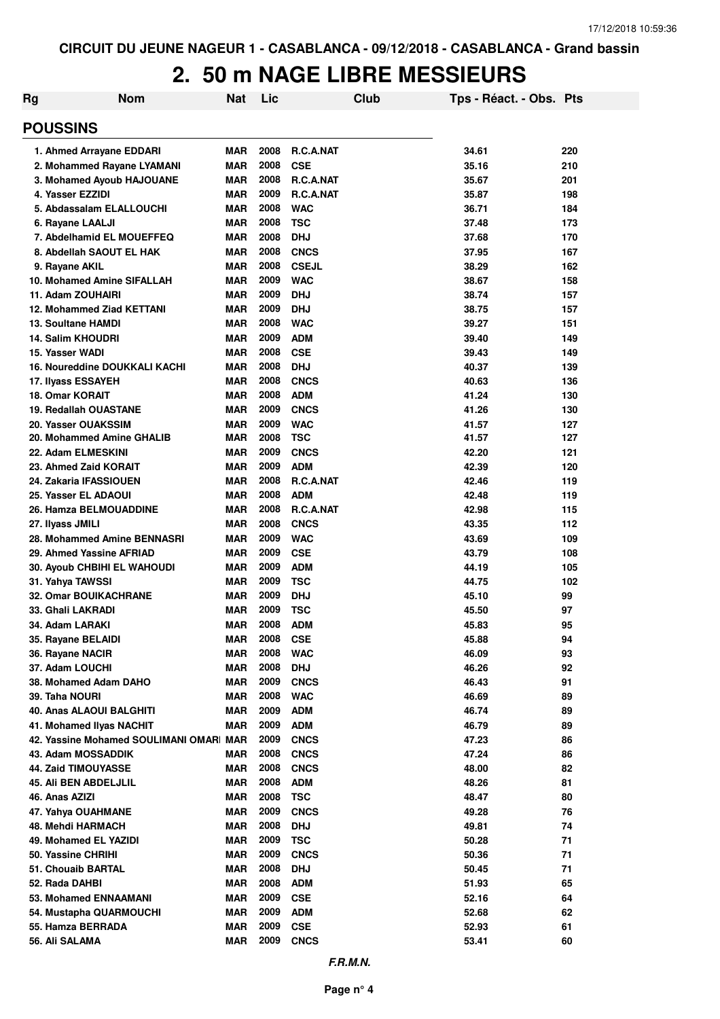| Rg                                               | <b>Nom</b>                             | <b>Nat</b>               | Lic          |                          | Club | Tps - Réact. - Obs. Pts |            |
|--------------------------------------------------|----------------------------------------|--------------------------|--------------|--------------------------|------|-------------------------|------------|
| <b>POUSSINS</b>                                  |                                        |                          |              |                          |      |                         |            |
| 1. Ahmed Arrayane EDDARI                         |                                        | <b>MAR</b>               | 2008         | <b>R.C.A.NAT</b>         |      | 34.61                   | 220        |
|                                                  | 2. Mohammed Rayane LYAMANI             | <b>MAR</b>               | 2008         | <b>CSE</b>               |      | 35.16                   | 210        |
|                                                  | 3. Mohamed Ayoub HAJOUANE              | <b>MAR</b>               | 2008         | <b>R.C.A.NAT</b>         |      | 35.67                   | 201        |
| 4. Yasser EZZIDI                                 |                                        | <b>MAR</b>               | 2009         | <b>R.C.A.NAT</b>         |      | 35.87                   | 198        |
| 5. Abdassalam ELALLOUCHI                         |                                        | <b>MAR</b>               | 2008         | <b>WAC</b>               |      | 36.71                   | 184        |
| 6. Rayane LAALJI                                 |                                        | <b>MAR</b>               | 2008         | <b>TSC</b>               |      | 37.48                   | 173        |
|                                                  | 7. Abdelhamid EL MOUEFFEQ              | <b>MAR</b>               | 2008         | <b>DHJ</b>               |      | 37.68                   | 170        |
| 8. Abdellah SAOUT EL HAK                         |                                        | <b>MAR</b>               | 2008         | <b>CNCS</b>              |      | 37.95                   | 167        |
| 9. Rayane AKIL                                   |                                        | <b>MAR</b>               | 2008         | <b>CSEJL</b>             |      | 38.29                   | 162        |
| 10. Mohamed Amine SIFALLAH                       |                                        | <b>MAR</b>               | 2009         | <b>WAC</b>               |      | 38.67                   | 158        |
| 11. Adam ZOUHAIRI                                |                                        | <b>MAR</b>               | 2009         | <b>DHJ</b>               |      | 38.74                   | 157        |
| <b>12. Mohammed Ziad KETTANI</b>                 |                                        | <b>MAR</b>               | 2009         | <b>DHJ</b>               |      | 38.75                   | 157        |
| <b>13. Soultane HAMDI</b>                        |                                        | <b>MAR</b>               | 2008         | <b>WAC</b>               |      | 39.27                   | 151        |
| <b>14. Salim KHOUDRI</b>                         |                                        | <b>MAR</b>               | 2009         | <b>ADM</b>               |      | 39.40                   | 149        |
| 15. Yasser WADI                                  |                                        | <b>MAR</b>               | 2008         | <b>CSE</b>               |      | 39.43                   | 149        |
|                                                  | 16. Noureddine DOUKKALI KACHI          | <b>MAR</b>               | 2008         | <b>DHJ</b>               |      | 40.37                   | 139        |
| 17. Ilyass ESSAYEH                               |                                        | <b>MAR</b>               | 2008         | <b>CNCS</b>              |      | 40.63                   | 136        |
| <b>18. Omar KORAIT</b>                           |                                        | <b>MAR</b>               | 2008         | <b>ADM</b>               |      | 41.24                   | 130        |
| <b>19. Redallah OUASTANE</b>                     |                                        | <b>MAR</b>               | 2009         | <b>CNCS</b>              |      | 41.26                   | 130        |
| 20. Yasser OUAKSSIM                              |                                        | <b>MAR</b>               | 2009         | <b>WAC</b>               |      | 41.57                   | 127        |
| 20. Mohammed Amine GHALIB                        |                                        | <b>MAR</b>               | 2008         | <b>TSC</b>               |      | 41.57                   | 127        |
| 22. Adam ELMESKINI                               |                                        | <b>MAR</b>               | 2009         | <b>CNCS</b>              |      | 42.20                   | 121        |
| 23. Ahmed Zaid KORAIT                            |                                        | <b>MAR</b>               | 2009         | <b>ADM</b>               |      | 42.39                   | 120        |
| 24. Zakaria IFASSIOUEN                           |                                        | <b>MAR</b>               | 2008         | R.C.A.NAT                |      | 42.46                   | 119        |
| 25. Yasser EL ADAOUI                             |                                        | <b>MAR</b>               | 2008         | <b>ADM</b>               |      | 42.48                   | 119        |
| <b>26. Hamza BELMOUADDINE</b>                    |                                        | <b>MAR</b>               | 2008         | R.C.A.NAT                |      | 42.98                   | 115        |
| 27. Ilyass JMILI                                 |                                        | <b>MAR</b>               | 2008         | <b>CNCS</b>              |      | 43.35                   | 112        |
|                                                  | 28. Mohammed Amine BENNASRI            | <b>MAR</b>               | 2009<br>2009 | <b>WAC</b>               |      | 43.69                   | 109        |
| 29. Ahmed Yassine AFRIAD                         |                                        | <b>MAR</b><br><b>MAR</b> | 2009         | <b>CSE</b><br><b>ADM</b> |      | 43.79<br>44.19          | 108<br>105 |
| 30. Ayoub CHBIHI EL WAHOUDI                      |                                        | <b>MAR</b>               | 2009         | <b>TSC</b>               |      | 44.75                   | 102        |
| 31. Yahya TAWSSI<br><b>32. Omar BOUIKACHRANE</b> |                                        | MAR                      | 2009         | <b>DHJ</b>               |      | 45.10                   | 99         |
| 33. Ghali LAKRADI                                |                                        | <b>MAR</b>               | 2009         | <b>TSC</b>               |      | 45.50                   | 97         |
| 34. Adam LARAKI                                  |                                        | <b>MAR</b>               | 2008         | <b>ADM</b>               |      | 45.83                   | 95         |
| 35. Rayane BELAIDI                               |                                        | MAR                      | 2008         | <b>CSE</b>               |      | 45.88                   | 94         |
| 36. Rayane NACIR                                 |                                        | <b>MAR</b>               | 2008         | <b>WAC</b>               |      | 46.09                   | 93         |
| 37. Adam LOUCHI                                  |                                        | <b>MAR</b>               | 2008         | <b>DHJ</b>               |      | 46.26                   | 92         |
| 38. Mohamed Adam DAHO                            |                                        | <b>MAR</b>               | 2009         | <b>CNCS</b>              |      | 46.43                   | 91         |
| 39. Taha NOURI                                   |                                        | <b>MAR</b>               | 2008         | <b>WAC</b>               |      | 46.69                   | 89         |
| 40. Anas ALAOUI BALGHITI                         |                                        | <b>MAR</b>               | 2009         | <b>ADM</b>               |      | 46.74                   | 89         |
| 41. Mohamed IIvas NACHIT                         |                                        | <b>MAR</b>               | 2009         | <b>ADM</b>               |      | 46.79                   | 89         |
|                                                  | 42. Yassine Mohamed SOULIMANI OMAR MAR |                          | 2009         | <b>CNCS</b>              |      | 47.23                   | 86         |
| 43. Adam MOSSADDIK                               |                                        | <b>MAR</b>               | 2008         | <b>CNCS</b>              |      | 47.24                   | 86         |
| 44. Zaid TIMOUYASSE                              |                                        | <b>MAR</b>               | 2008         | <b>CNCS</b>              |      | 48.00                   | 82         |
| 45. Ali BEN ABDELJLIL                            |                                        | <b>MAR</b>               | 2008         | <b>ADM</b>               |      | 48.26                   | 81         |
| 46. Anas AZIZI                                   |                                        | <b>MAR</b>               | 2008         | <b>TSC</b>               |      | 48.47                   | 80         |
| 47. Yahya OUAHMANE                               |                                        | <b>MAR</b>               | 2009         | <b>CNCS</b>              |      | 49.28                   | 76         |
| 48. Mehdi HARMACH                                |                                        | <b>MAR</b>               | 2008         | <b>DHJ</b>               |      | 49.81                   | 74         |
| 49. Mohamed EL YAZIDI                            |                                        | <b>MAR</b>               | 2009         | <b>TSC</b>               |      | 50.28                   | 71         |
| 50. Yassine CHRIHI                               |                                        | <b>MAR</b>               | 2009         | <b>CNCS</b>              |      | 50.36                   | 71         |
| 51. Chouaib BARTAL                               |                                        | <b>MAR</b>               | 2008         | <b>DHJ</b>               |      | 50.45                   | 71         |
| 52. Rada DAHBI                                   |                                        | <b>MAR</b>               | 2008         | <b>ADM</b>               |      | 51.93                   | 65         |
| 53. Mohamed ENNAAMANI                            |                                        | <b>MAR</b>               | 2009         | <b>CSE</b>               |      | 52.16                   | 64         |
| 54. Mustapha QUARMOUCHI                          |                                        | <b>MAR</b>               | 2009         | <b>ADM</b>               |      | 52.68                   | 62         |
| 55. Hamza BERRADA                                |                                        | <b>MAR</b>               | 2009         | <b>CSE</b>               |      | 52.93                   | 61         |
| 56. Ali SALAMA                                   |                                        | MAR                      | 2009         | <b>CNCS</b>              |      | 53.41                   | 60         |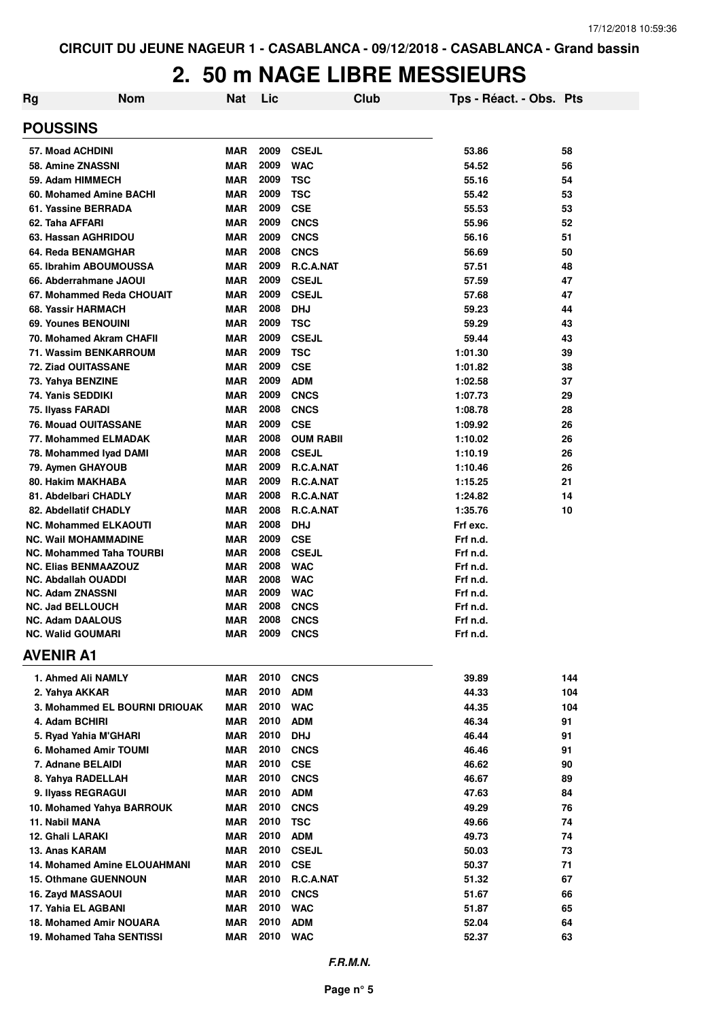| <b>Rg</b> | <b>Nom</b>                                    | <b>Nat</b>        | Lic          | <b>Club</b>            | Tps - Réact. - Obs. Pts |          |
|-----------|-----------------------------------------------|-------------------|--------------|------------------------|-------------------------|----------|
|           | <b>POUSSINS</b>                               |                   |              |                        |                         |          |
|           | 57. Moad ACHDINI                              | MAR               | 2009         | <b>CSEJL</b>           | 53.86                   | 58       |
|           | 58. Amine ZNASSNI                             | <b>MAR</b>        | 2009         | <b>WAC</b>             | 54.52                   | 56       |
|           | 59. Adam HIMMECH                              | <b>MAR</b>        | 2009         | <b>TSC</b>             | 55.16                   | 54       |
|           | 60. Mohamed Amine BACHI                       | <b>MAR</b>        | 2009         | <b>TSC</b>             | 55.42                   | 53       |
|           | 61. Yassine BERRADA                           | <b>MAR</b>        | 2009         | <b>CSE</b>             | 55.53                   | 53       |
|           | 62. Taha AFFARI                               | <b>MAR</b>        | 2009         | <b>CNCS</b>            | 55.96                   | 52       |
|           | 63. Hassan AGHRIDOU                           | MAR               | 2009         | <b>CNCS</b>            | 56.16                   | 51       |
|           | 64. Reda BENAMGHAR                            | <b>MAR</b>        | 2008         | <b>CNCS</b>            | 56.69                   | 50       |
|           | 65. Ibrahim ABOUMOUSSA                        | <b>MAR</b>        | 2009         | R.C.A.NAT              | 57.51                   | 48       |
|           | 66. Abderrahmane JAOUI                        | MAR               | 2009         | <b>CSEJL</b>           | 57.59                   | 47       |
|           | 67. Mohammed Reda CHOUAIT                     | <b>MAR</b>        | 2009         | <b>CSEJL</b>           | 57.68                   | 47       |
|           | 68. Yassir HARMACH                            | <b>MAR</b>        | 2008         | <b>DHJ</b>             | 59.23                   | 44       |
|           | 69. Younes BENOUINI                           | <b>MAR</b>        | 2009         | <b>TSC</b>             | 59.29                   | 43       |
|           | 70. Mohamed Akram CHAFII                      | <b>MAR</b>        | 2009         | <b>CSEJL</b>           | 59.44                   | 43       |
|           | 71. Wassim BENKARROUM                         | <b>MAR</b>        | 2009         | <b>TSC</b>             | 1:01.30                 | 39       |
|           | 72. Ziad OUITASSANE                           | <b>MAR</b>        | 2009         | <b>CSE</b>             | 1:01.82                 | 38       |
|           | 73. Yahya BENZINE                             | <b>MAR</b>        | 2009         | <b>ADM</b>             | 1:02.58                 | 37       |
|           | 74. Yanis SEDDIKI                             | <b>MAR</b>        | 2009         | <b>CNCS</b>            | 1:07.73                 | 29       |
|           | 75. Ilyass FARADI                             | <b>MAR</b>        | 2008         | <b>CNCS</b>            | 1:08.78                 | 28       |
|           | <b>76. Mouad OUITASSANE</b>                   | MAR               | 2009         | <b>CSE</b>             | 1:09.92                 | 26       |
|           | 77. Mohammed ELMADAK                          | MAR               | 2008<br>2008 | <b>OUM RABII</b>       | 1:10.02                 | 26       |
|           | 78. Mohammed Iyad DAMI                        | MAR               | 2009         | <b>CSEJL</b>           | 1:10.19                 | 26       |
|           | 79. Aymen GHAYOUB                             | MAR               | 2009         | R.C.A.NAT              | 1:10.46                 | 26       |
|           | 80. Hakim MAKHABA                             | MAR               | 2008         | R.C.A.NAT              | 1:15.25                 | 21<br>14 |
|           | 81. Abdelbari CHADLY<br>82. Abdellatif CHADLY | MAR<br><b>MAR</b> | 2008         | R.C.A.NAT<br>R.C.A.NAT | 1:24.82<br>1:35.76      | 10       |
|           | <b>NC. Mohammed ELKAOUTI</b>                  | <b>MAR</b>        | 2008         | <b>DHJ</b>             | Frf exc.                |          |
|           | <b>NC. Wail MOHAMMADINE</b>                   | <b>MAR</b>        | 2009         | <b>CSE</b>             | Frf n.d.                |          |
|           | <b>NC. Mohammed Taha TOURBI</b>               | <b>MAR</b>        | 2008         | <b>CSEJL</b>           | Frf n.d.                |          |
|           | <b>NC. Elias BENMAAZOUZ</b>                   | <b>MAR</b>        | 2008         | <b>WAC</b>             | Frf n.d.                |          |
|           | <b>NC. Abdallah OUADDI</b>                    | MAR               | 2008         | <b>WAC</b>             | Frf n.d.                |          |
|           | <b>NC. Adam ZNASSNI</b>                       | <b>MAR</b>        | 2009         | <b>WAC</b>             | Frf n.d.                |          |
|           | <b>NC. Jad BELLOUCH</b>                       | MAR               | 2008         | <b>CNCS</b>            | Frf n.d.                |          |
|           | <b>NC. Adam DAALOUS</b>                       | <b>MAR</b>        | 2008         | <b>CNCS</b>            | Frf n.d.                |          |
|           | <b>NC. Walid GOUMARI</b>                      | <b>MAR</b>        |              | <b>2009 CNCS</b>       | Frf n.d.                |          |
|           | <b>AVENIR A1</b>                              |                   |              |                        |                         |          |
|           | 1. Ahmed Ali NAMLY                            | MAR               |              | <b>2010 CNCS</b>       | 39.89                   | 144      |
|           | 2. Yahya AKKAR                                | MAR               | 2010         | <b>ADM</b>             | 44.33                   | 104      |
|           | 3. Mohammed EL BOURNI DRIOUAK                 | <b>MAR</b>        | 2010         | <b>WAC</b>             | 44.35                   | 104      |
|           | 4. Adam BCHIRI                                | <b>MAR</b>        | 2010         | <b>ADM</b>             | 46.34                   | 91       |
|           | 5. Ryad Yahia M'GHARI                         | <b>MAR</b>        | 2010 DHJ     |                        | 46.44                   | 91       |
|           | 6. Mohamed Amir TOUMI                         | MAR               | 2010         | <b>CNCS</b>            | 46.46                   | 91       |
|           | 7. Adnane BELAIDI                             | MAR               | 2010         | <b>CSE</b>             | 46.62                   | 90       |
|           | 8. Yahya RADELLAH                             | MAR               | 2010         | <b>CNCS</b>            | 46.67                   | 89       |
|           | 9. Ilyass REGRAGUI                            | MAR               | 2010         | <b>ADM</b>             | 47.63                   | 84       |
|           | 10. Mohamed Yahya BARROUK                     | MAR               | 2010         | <b>CNCS</b>            | 49.29                   | 76       |
|           | 11. Nabil MANA                                | MAR               | 2010         | <b>TSC</b>             | 49.66                   | 74       |
|           | 12. Ghali LARAKI                              | MAR               | 2010         | <b>ADM</b>             | 49.73                   | 74       |
|           | 13. Anas KARAM                                | MAR               | 2010         | <b>CSEJL</b>           | 50.03                   | 73       |
|           | 14. Mohamed Amine ELOUAHMANI                  | MAR               | 2010         | <b>CSE</b>             | 50.37                   | 71       |
|           | <b>15. Othmane GUENNOUN</b>                   | MAR               | 2010         | R.C.A.NAT              | 51.32                   | 67       |
|           | 16. Zayd MASSAOUI                             | MAR               | 2010         | <b>CNCS</b>            | 51.67                   | 66       |
|           | 17. Yahia EL AGBANI                           | MAR               | 2010         | <b>WAC</b>             | 51.87                   | 65       |
|           | 18. Mohamed Amir NOUARA                       | MAR               | 2010         | ADM                    | 52.04                   | 64       |
|           | 19. Mohamed Taha SENTISSI                     | <b>MAR</b>        |              | 2010 WAC               | 52.37                   | 63       |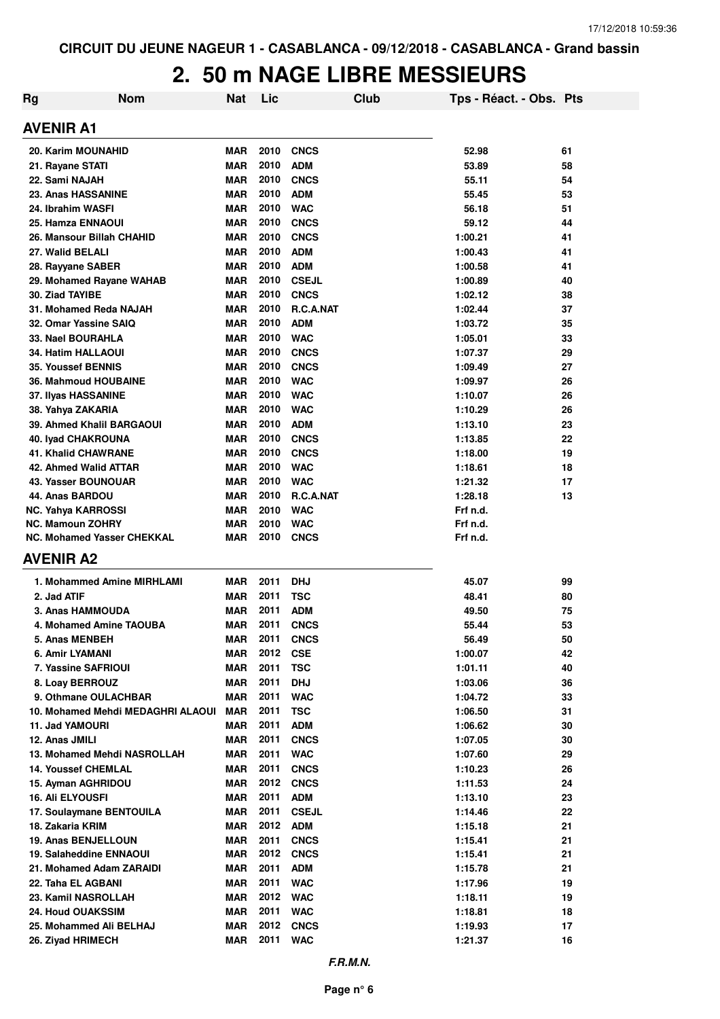| Rg                                                        | <b>Nom</b>                        | <b>Nat</b>               | Lic          |                            | Club | Tps - Réact. - Obs. Pts |          |
|-----------------------------------------------------------|-----------------------------------|--------------------------|--------------|----------------------------|------|-------------------------|----------|
| <b>AVENIR A1</b>                                          |                                   |                          |              |                            |      |                         |          |
| 20. Karim MOUNAHID                                        |                                   | <b>MAR</b>               | 2010         | <b>CNCS</b>                |      | 52.98                   | 61       |
| 21. Rayane STATI                                          |                                   | <b>MAR</b>               | 2010         | <b>ADM</b>                 |      | 53.89                   | 58       |
| 22. Sami NAJAH                                            |                                   | <b>MAR</b>               | 2010         | <b>CNCS</b>                |      | 55.11                   | 54       |
| 23. Anas HASSANINE                                        |                                   | <b>MAR</b>               | 2010         | <b>ADM</b>                 |      | 55.45                   | 53       |
| 24. Ibrahim WASFI                                         |                                   | <b>MAR</b>               | 2010         | <b>WAC</b>                 |      | 56.18                   | 51       |
| 25. Hamza ENNAOUI                                         |                                   | <b>MAR</b>               | 2010         | <b>CNCS</b>                |      | 59.12                   | 44       |
| 26. Mansour Billah CHAHID                                 |                                   | <b>MAR</b>               | 2010         | <b>CNCS</b>                |      | 1:00.21                 | 41       |
| 27. Walid BELALI                                          |                                   | <b>MAR</b>               | 2010         | <b>ADM</b>                 |      | 1:00.43                 | 41       |
| 28. Rayyane SABER                                         |                                   | <b>MAR</b>               | 2010         | <b>ADM</b>                 |      | 1:00.58                 | 41       |
| 29. Mohamed Rayane WAHAB                                  |                                   | <b>MAR</b>               | 2010         | <b>CSEJL</b>               |      | 1:00.89                 | 40       |
| 30. Ziad TAYIBE                                           |                                   | <b>MAR</b>               | 2010         | <b>CNCS</b>                |      | 1:02.12                 | 38       |
| 31. Mohamed Reda NAJAH                                    |                                   | <b>MAR</b>               | 2010         | R.C.A.NAT                  |      | 1:02.44                 | 37       |
| 32. Omar Yassine SAIQ                                     |                                   | <b>MAR</b>               | 2010         | <b>ADM</b>                 |      | 1:03.72                 | 35       |
| 33. Nael BOURAHLA                                         |                                   | <b>MAR</b>               | 2010         | <b>WAC</b>                 |      | 1:05.01                 | 33       |
| <b>34. Hatim HALLAOUI</b>                                 |                                   | <b>MAR</b>               | 2010         | <b>CNCS</b>                |      | 1:07.37                 | 29       |
| <b>35. Youssef BENNIS</b>                                 |                                   | <b>MAR</b>               | 2010         | <b>CNCS</b>                |      | 1:09.49                 | 27       |
| <b>36. Mahmoud HOUBAINE</b>                               |                                   | <b>MAR</b>               | 2010         | <b>WAC</b>                 |      | 1:09.97                 | 26       |
| 37. Ilyas HASSANINE                                       |                                   | <b>MAR</b>               | 2010         | <b>WAC</b>                 |      | 1:10.07                 | 26       |
| 38. Yahya ZAKARIA                                         |                                   | <b>MAR</b>               | 2010         | <b>WAC</b>                 |      | 1:10.29                 | 26       |
| 39. Ahmed Khalil BARGAOUI                                 |                                   | <b>MAR</b>               | 2010         | <b>ADM</b>                 |      | 1:13.10                 | 23       |
| 40. Iyad CHAKROUNA                                        |                                   | <b>MAR</b>               | 2010         | <b>CNCS</b>                |      | 1:13.85                 | 22       |
| <b>41. Khalid CHAWRANE</b>                                |                                   | <b>MAR</b>               | 2010         | <b>CNCS</b>                |      | 1:18.00                 | 19       |
| 42. Ahmed Walid ATTAR                                     |                                   | <b>MAR</b>               | 2010         | <b>WAC</b>                 |      | 1:18.61                 | 18       |
| 43. Yasser BOUNOUAR                                       |                                   | <b>MAR</b>               | 2010         | <b>WAC</b>                 |      | 1:21.32                 | 17       |
| 44. Anas BARDOU                                           |                                   | <b>MAR</b>               | 2010         | R.C.A.NAT                  |      | 1:28.18                 | 13       |
| <b>NC. Yahya KARROSSI</b>                                 |                                   | <b>MAR</b>               | 2010         | <b>WAC</b>                 |      | Frf n.d.                |          |
| <b>NC. Mamoun ZOHRY</b>                                   |                                   | <b>MAR</b>               | 2010         | <b>WAC</b>                 |      | Frf n.d.                |          |
| NC. Mohamed Yasser CHEKKAL                                |                                   | <b>MAR</b>               | 2010         | <b>CNCS</b>                |      | Frf n.d.                |          |
| <b>AVENIR A2</b>                                          |                                   |                          |              |                            |      |                         |          |
|                                                           | 1. Mohammed Amine MIRHLAMI        | <b>MAR</b>               | 2011         | <b>DHJ</b>                 |      | 45.07                   | 99       |
| 2. Jad ATIF                                               |                                   | <b>MAR</b>               | 2011         | <b>TSC</b>                 |      | 48.41                   | 80       |
| <b>3. Anas HAMMOUDA</b>                                   |                                   | <b>MAR</b>               | 2011         | <b>ADM</b>                 |      | 49.50                   | 75       |
| 4. Mohamed Amine TAOUBA                                   |                                   | <b>MAR</b>               | 2011         | <b>CNCS</b>                |      | 55.44                   | 53       |
| 5. Anas MENBEH                                            |                                   | MAR                      | 2011         | <b>CNCS</b>                |      | 56.49                   | 50       |
| 6. Amir LYAMANI                                           |                                   | <b>MAR</b>               | 2012         | <b>CSE</b>                 |      | 1:00.07                 | 42       |
| 7. Yassine SAFRIOUI                                       |                                   | <b>MAR</b>               | 2011         | <b>TSC</b>                 |      | 1:01.11                 | 40       |
| 8. Loay BERROUZ                                           |                                   | <b>MAR</b>               | 2011         | <b>DHJ</b>                 |      | 1:03.06                 | 36       |
| 9. Othmane OULACHBAR                                      |                                   | <b>MAR</b>               | 2011         | <b>WAC</b>                 |      | 1:04.72                 | 33       |
|                                                           | 10. Mohamed Mehdi MEDAGHRI ALAOUI | <b>MAR</b>               | 2011         | <b>TSC</b>                 |      | 1:06.50                 | 31       |
| 11. Jad YAMOURI                                           |                                   | <b>MAR</b>               | 2011         | <b>ADM</b>                 |      | 1:06.62                 | 30       |
| 12. Anas JMILI                                            |                                   | <b>MAR</b>               | 2011         | <b>CNCS</b>                |      | 1:07.05                 | 30       |
| 13. Mohamed Mehdi NASROLLAH<br><b>14. Youssef CHEMLAL</b> |                                   | <b>MAR</b><br><b>MAR</b> | 2011<br>2011 | <b>WAC</b>                 |      | 1:07.60<br>1:10.23      | 29       |
|                                                           |                                   | <b>MAR</b>               | 2012         | <b>CNCS</b><br><b>CNCS</b> |      | 1:11.53                 | 26<br>24 |
| 15. Ayman AGHRIDOU<br><b>16. Ali ELYOUSFI</b>             |                                   | <b>MAR</b>               | 2011         | <b>ADM</b>                 |      | 1:13.10                 | 23       |
| 17. Soulaymane BENTOUILA                                  |                                   | <b>MAR</b>               | 2011         | <b>CSEJL</b>               |      | 1:14.46                 | 22       |
| 18. Zakaria KRIM                                          |                                   | <b>MAR</b>               | 2012         | <b>ADM</b>                 |      | 1:15.18                 | 21       |
| 19. Anas BENJELLOUN                                       |                                   | <b>MAR</b>               | 2011         | <b>CNCS</b>                |      | 1:15.41                 | 21       |
| 19. Salaheddine ENNAOUI                                   |                                   | <b>MAR</b>               | 2012         | <b>CNCS</b>                |      | 1:15.41                 | 21       |
| 21. Mohamed Adam ZARAIDI                                  |                                   | <b>MAR</b>               | 2011         | <b>ADM</b>                 |      | 1:15.78                 | 21       |
| 22. Taha EL AGBANI                                        |                                   | <b>MAR</b>               | 2011         | <b>WAC</b>                 |      | 1:17.96                 | 19       |
| 23. Kamil NASROLLAH                                       |                                   | <b>MAR</b>               | 2012         | <b>WAC</b>                 |      | 1:18.11                 | 19       |
| <b>24. Houd OUAKSSIM</b>                                  |                                   | <b>MAR</b>               | 2011         | <b>WAC</b>                 |      | 1:18.81                 | 18       |
| 25. Mohammed Ali BELHAJ                                   |                                   | <b>MAR</b>               | 2012         | <b>CNCS</b>                |      | 1:19.93                 | 17       |
| 26. Ziyad HRIMECH                                         |                                   | <b>MAR</b>               | 2011         | <b>WAC</b>                 |      | 1:21.37                 | 16       |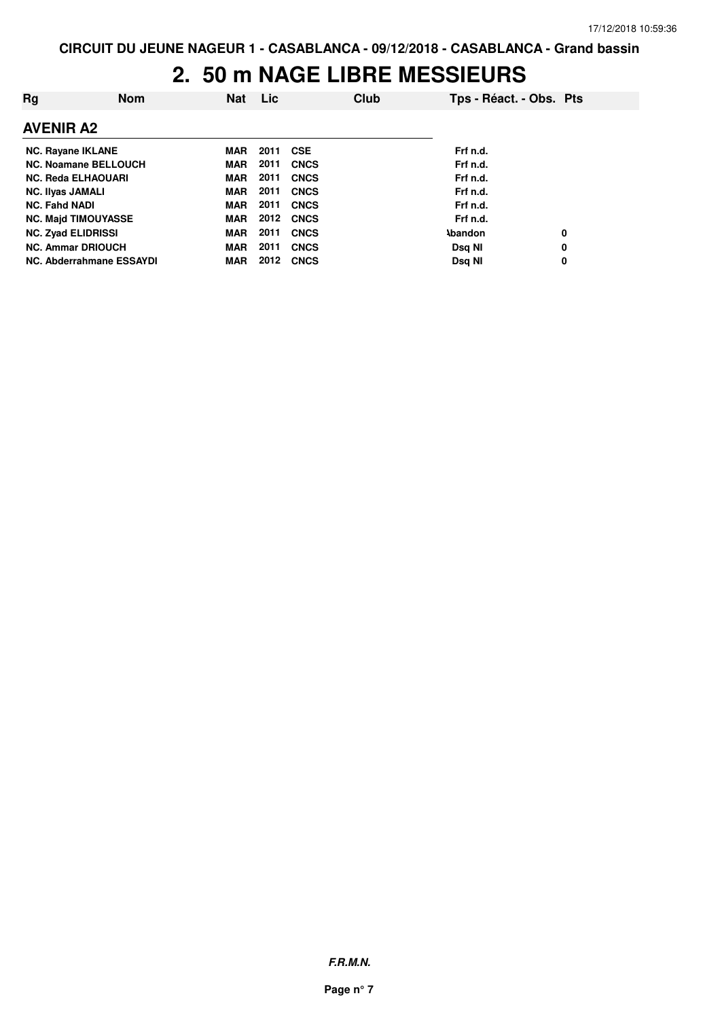| Rg                          | <b>Nom</b> | Nat        | <b>Lic</b> |             | Club | Tps - Réact. - Obs. Pts |   |
|-----------------------------|------------|------------|------------|-------------|------|-------------------------|---|
| <b>AVENIR A2</b>            |            |            |            |             |      |                         |   |
| <b>NC. Rayane IKLANE</b>    |            | MAR        | 2011       | <b>CSE</b>  |      | Frf n.d.                |   |
| <b>NC. Noamane BELLOUCH</b> |            | MAR        | 2011       | <b>CNCS</b> |      | Frf n.d.                |   |
| <b>NC. Reda ELHAOUARI</b>   |            | <b>MAR</b> | 2011       | <b>CNCS</b> |      | Frf n.d.                |   |
| <b>NC. Ilyas JAMALI</b>     |            | <b>MAR</b> | 2011       | <b>CNCS</b> |      | Frf n.d.                |   |
| <b>NC. Fahd NADI</b>        |            | MAR        | 2011       | <b>CNCS</b> |      | Frf n.d.                |   |
| <b>NC. Majd TIMOUYASSE</b>  |            | MAR        | 2012       | <b>CNCS</b> |      | Frf n.d.                |   |
| <b>NC. Zyad ELIDRISSI</b>   |            | <b>MAR</b> | 2011       | <b>CNCS</b> |      | <b>\bandon</b>          | 0 |
| <b>NC. Ammar DRIOUCH</b>    |            | <b>MAR</b> | 2011       | <b>CNCS</b> |      | Dsg NI                  | 0 |
| NC. Abderrahmane ESSAYDI    |            | <b>MAR</b> | 2012       | <b>CNCS</b> |      | Dsg NI                  | 0 |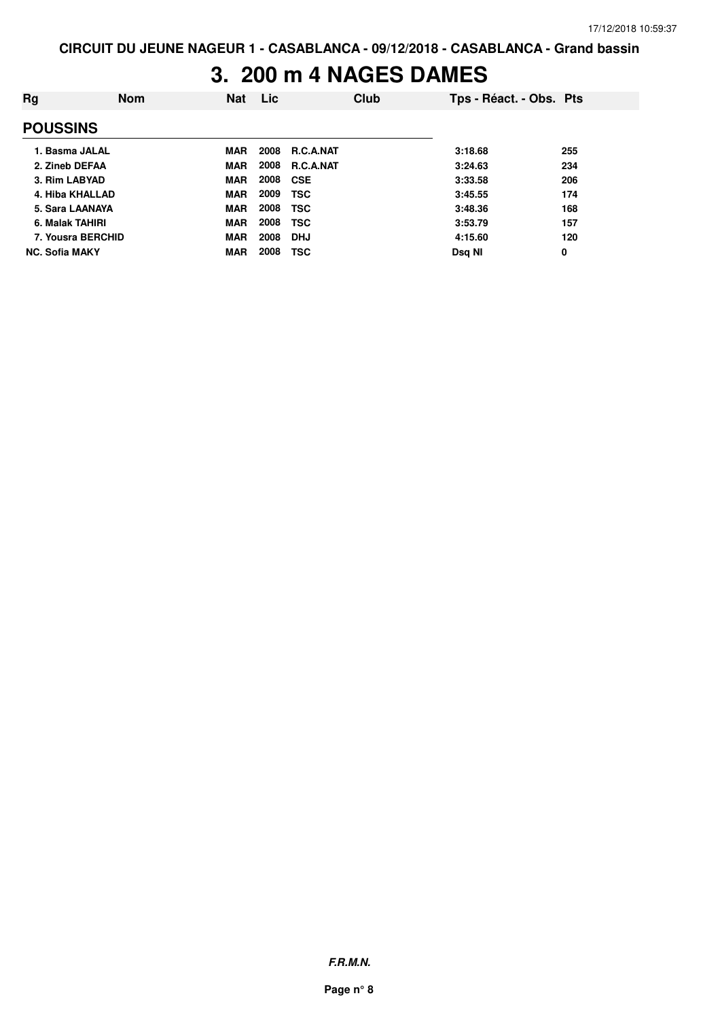### **3. 200 m 4 NAGES DAMES**

| Rg                    | <b>Nom</b> | <b>Nat</b> | <b>Lic</b> |                  | <b>Club</b> | Tps - Réact. - Obs. Pts |     |
|-----------------------|------------|------------|------------|------------------|-------------|-------------------------|-----|
| <b>POUSSINS</b>       |            |            |            |                  |             |                         |     |
| 1. Basma JALAL        |            | <b>MAR</b> | 2008       | <b>R.C.A.NAT</b> |             | 3:18.68                 | 255 |
| 2. Zineb DEFAA        |            | <b>MAR</b> | 2008       | <b>R.C.A.NAT</b> |             | 3:24.63                 | 234 |
| 3. Rim LABYAD         |            | <b>MAR</b> | 2008       | <b>CSE</b>       |             | 3:33.58                 | 206 |
| 4. Hiba KHALLAD       |            | <b>MAR</b> | 2009       | <b>TSC</b>       |             | 3:45.55                 | 174 |
| 5. Sara LAANAYA       |            | <b>MAR</b> | 2008       | <b>TSC</b>       |             | 3:48.36                 | 168 |
| 6. Malak TAHIRI       |            | <b>MAR</b> | 2008       | <b>TSC</b>       |             | 3:53.79                 | 157 |
| 7. Yousra BERCHID     |            | <b>MAR</b> | 2008       | <b>DHJ</b>       |             | 4:15.60                 | 120 |
| <b>NC. Sofia MAKY</b> |            | <b>MAR</b> | 2008       | TSC              |             | Dsg NI                  | 0   |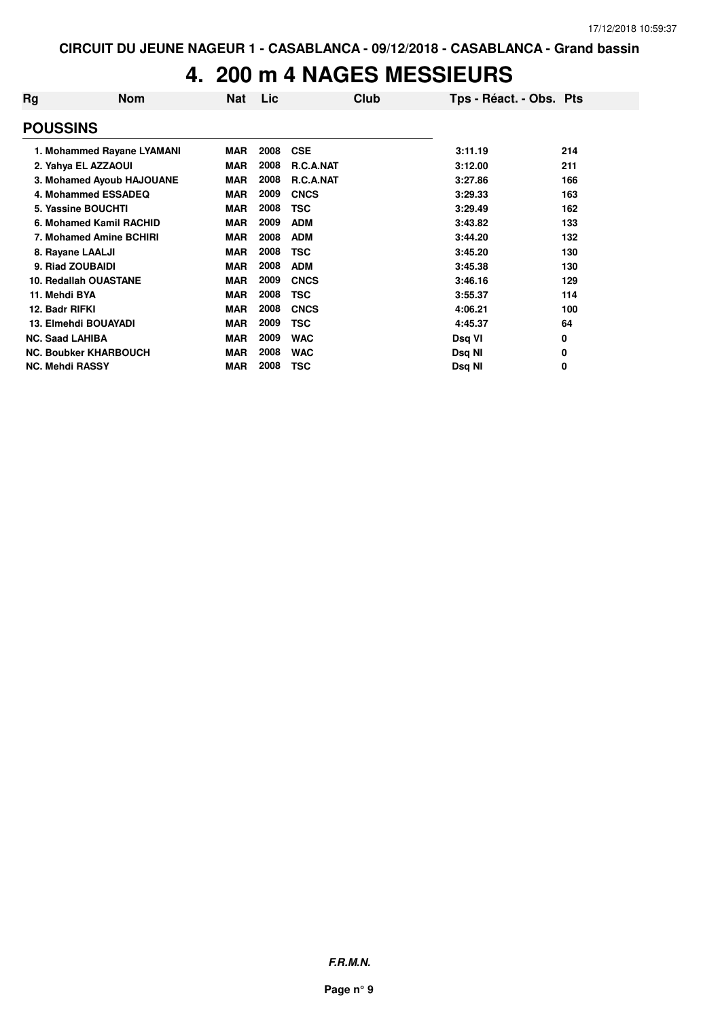#### **4. 200 m 4 NAGES MESSIEURS**

| Rg                     | <b>Nom</b>                   | <b>Nat</b> | Lic  | Club             | Tps - Réact. - Obs. Pts |     |
|------------------------|------------------------------|------------|------|------------------|-------------------------|-----|
| <b>POUSSINS</b>        |                              |            |      |                  |                         |     |
|                        | 1. Mohammed Rayane LYAMANI   | <b>MAR</b> | 2008 | <b>CSE</b>       | 3:11.19                 | 214 |
|                        | 2. Yahya EL AZZAOUI          | <b>MAR</b> | 2008 | <b>R.C.A.NAT</b> | 3:12.00                 | 211 |
|                        | 3. Mohamed Ayoub HAJOUANE    | <b>MAR</b> | 2008 | R.C.A.NAT        | 3:27.86                 | 166 |
|                        | 4. Mohammed ESSADEQ          | <b>MAR</b> | 2009 | <b>CNCS</b>      | 3:29.33                 | 163 |
|                        | 5. Yassine BOUCHTI           | <b>MAR</b> | 2008 | <b>TSC</b>       | 3:29.49                 | 162 |
|                        | 6. Mohamed Kamil RACHID      | <b>MAR</b> | 2009 | <b>ADM</b>       | 3:43.82                 | 133 |
|                        | 7. Mohamed Amine BCHIRI      | <b>MAR</b> | 2008 | <b>ADM</b>       | 3:44.20                 | 132 |
|                        | 8. Rayane LAALJI             | <b>MAR</b> | 2008 | TSC              | 3:45.20                 | 130 |
|                        | 9. Riad ZOUBAIDI             | <b>MAR</b> | 2008 | <b>ADM</b>       | 3:45.38                 | 130 |
|                        | 10. Redallah OUASTANE        | <b>MAR</b> | 2009 | <b>CNCS</b>      | 3:46.16                 | 129 |
| 11. Mehdi BYA          |                              | <b>MAR</b> | 2008 | <b>TSC</b>       | 3:55.37                 | 114 |
| 12. Badr RIFKI         |                              | <b>MAR</b> | 2008 | <b>CNCS</b>      | 4:06.21                 | 100 |
|                        | 13. Elmehdi BOUAYADI         | <b>MAR</b> | 2009 | TSC              | 4:45.37                 | 64  |
| <b>NC. Saad LAHIBA</b> |                              | <b>MAR</b> | 2009 | <b>WAC</b>       | Dsq VI                  | 0   |
|                        | <b>NC. Boubker KHARBOUCH</b> | <b>MAR</b> | 2008 | <b>WAC</b>       | Dsq NI                  | 0   |
| <b>NC. Mehdi RASSY</b> |                              | <b>MAR</b> | 2008 | TSC              | Dsg NI                  | 0   |

**F.R.M.N.**

**Page n° 9**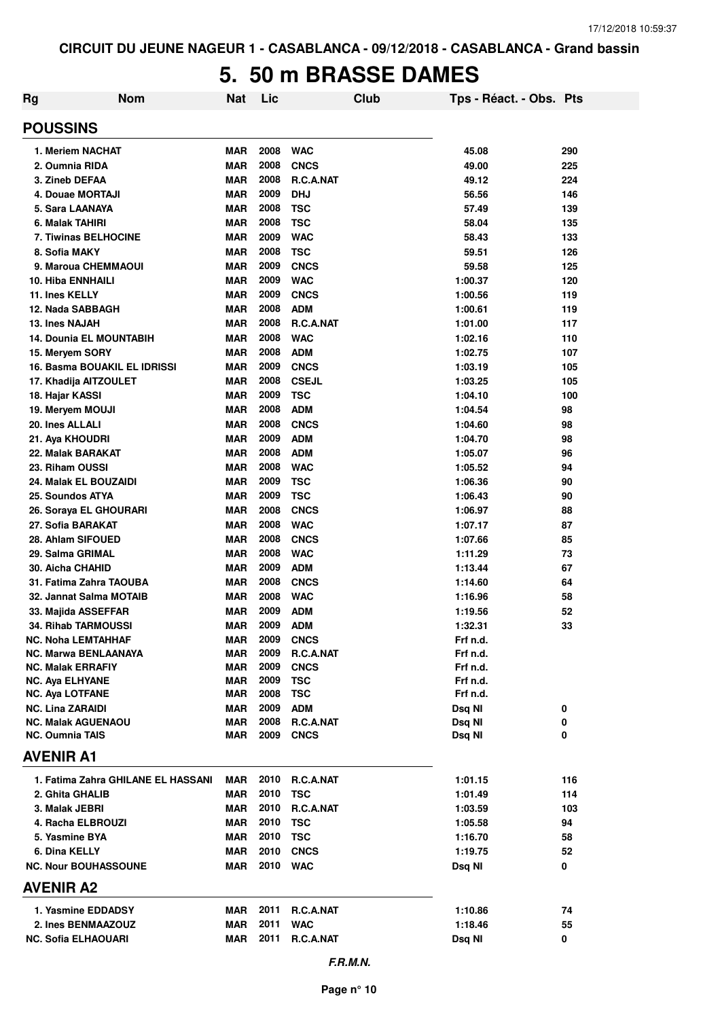#### **5. 50 m BRASSE DAMES**

| Rg                                                      | <b>Nom</b>                         | <b>Nat</b>               | Lic          |                           | Club | Tps - Réact. - Obs. Pts |            |
|---------------------------------------------------------|------------------------------------|--------------------------|--------------|---------------------------|------|-------------------------|------------|
| <b>POUSSINS</b>                                         |                                    |                          |              |                           |      |                         |            |
| 1. Meriem NACHAT                                        |                                    | <b>MAR</b>               | 2008         | <b>WAC</b>                |      | 45.08                   | 290        |
| 2. Oumnia RIDA                                          |                                    | <b>MAR</b>               | 2008         | <b>CNCS</b>               |      | 49.00                   | 225        |
| 3. Zineb DEFAA                                          |                                    | <b>MAR</b>               | 2008         | R.C.A.NAT                 |      | 49.12                   | 224        |
| 4. Douae MORTAJI                                        |                                    | <b>MAR</b>               | 2009         | <b>DHJ</b>                |      | 56.56                   | 146        |
| 5. Sara LAANAYA                                         |                                    | <b>MAR</b>               | 2008         | <b>TSC</b>                |      | 57.49                   | 139        |
| 6. Malak TAHIRI                                         |                                    | <b>MAR</b>               | 2008         | <b>TSC</b>                |      | 58.04                   | 135        |
| 7. Tiwinas BELHOCINE                                    |                                    | <b>MAR</b>               | 2009         | <b>WAC</b>                |      | 58.43                   | 133        |
| 8. Sofia MAKY                                           |                                    | <b>MAR</b>               | 2008         | <b>TSC</b>                |      | 59.51                   | 126        |
| 9. Maroua CHEMMAOUI                                     |                                    | <b>MAR</b>               | 2009         | <b>CNCS</b>               |      | 59.58                   | 125        |
| 10. Hiba ENNHAILI                                       |                                    | <b>MAR</b><br><b>MAR</b> | 2009<br>2009 | <b>WAC</b><br><b>CNCS</b> |      | 1:00.37                 | 120        |
| 11. Ines KELLY<br>12. Nada SABBAGH                      |                                    | <b>MAR</b>               | 2008         | <b>ADM</b>                |      | 1:00.56<br>1:00.61      | 119        |
| 13. Ines NAJAH                                          |                                    | <b>MAR</b>               | 2008         | R.C.A.NAT                 |      | 1:01.00                 | 119<br>117 |
| <b>14. Dounia EL MOUNTABIH</b>                          |                                    | <b>MAR</b>               | 2008         | <b>WAC</b>                |      | 1:02.16                 | 110        |
| 15. Mervem SORY                                         |                                    | <b>MAR</b>               | 2008         | <b>ADM</b>                |      | 1:02.75                 | 107        |
| <b>16. Basma BOUAKIL EL IDRISSI</b>                     |                                    | <b>MAR</b>               | 2009         | <b>CNCS</b>               |      | 1:03.19                 | 105        |
| 17. Khadija AITZOULET                                   |                                    | <b>MAR</b>               | 2008         | <b>CSEJL</b>              |      | 1:03.25                 | 105        |
| 18. Hajar KASSI                                         |                                    | <b>MAR</b>               | 2009         | <b>TSC</b>                |      | 1:04.10                 | 100        |
| 19. Meryem MOUJI                                        |                                    | <b>MAR</b>               | 2008         | <b>ADM</b>                |      | 1:04.54                 | 98         |
| 20. Ines ALLALI                                         |                                    | <b>MAR</b>               | 2008         | <b>CNCS</b>               |      | 1:04.60                 | 98         |
| 21. Aya KHOUDRI                                         |                                    | <b>MAR</b>               | 2009         | <b>ADM</b>                |      | 1:04.70                 | 98         |
| 22. Malak BARAKAT                                       |                                    | <b>MAR</b>               | 2008         | <b>ADM</b>                |      | 1:05.07                 | 96         |
| 23. Riham OUSSI                                         |                                    | <b>MAR</b>               | 2008         | <b>WAC</b>                |      | 1:05.52                 | 94         |
| 24. Malak EL BOUZAIDI                                   |                                    | <b>MAR</b>               | 2009         | <b>TSC</b>                |      | 1:06.36                 | 90         |
| 25. Soundos ATYA                                        |                                    | <b>MAR</b>               | 2009         | <b>TSC</b>                |      | 1:06.43                 | 90         |
| 26. Soraya EL GHOURARI                                  |                                    | <b>MAR</b>               | 2008         | <b>CNCS</b>               |      | 1:06.97                 | 88         |
| 27. Sofia BARAKAT                                       |                                    | <b>MAR</b>               | 2008         | <b>WAC</b>                |      | 1:07.17                 | 87         |
| 28. Ahlam SIFOUED                                       |                                    | <b>MAR</b>               | 2008         | <b>CNCS</b>               |      | 1:07.66                 | 85         |
| 29. Salma GRIMAL                                        |                                    | <b>MAR</b>               | 2008         | <b>WAC</b>                |      | 1:11.29                 | 73         |
| 30. Aicha CHAHID                                        |                                    | <b>MAR</b>               | 2009         | <b>ADM</b>                |      | 1:13.44                 | 67         |
| 31. Fatima Zahra TAOUBA                                 |                                    | <b>MAR</b>               | 2008         | <b>CNCS</b>               |      | 1:14.60                 | 64         |
| 32. Jannat Salma MOTAIB                                 |                                    | <b>MAR</b>               | 2008         | <b>WAC</b>                |      | 1:16.96                 | 58         |
| 33. Majida ASSEFFAR                                     |                                    | <b>MAR</b>               | 2009         | <b>ADM</b>                |      | 1:19.56                 | 52         |
| 34. Rihab TARMOUSSI                                     |                                    | <b>MAR</b>               | 2009         | <b>ADM</b>                |      | 1:32.31                 | 33         |
| <b>NC. Noha LEMTAHHAF</b>                               |                                    | <b>MAR</b>               | 2009         | <b>CNCS</b>               |      | Frf n.d.                |            |
| <b>NC. Marwa BENLAANAYA</b><br><b>NC. Malak ERRAFIY</b> |                                    | <b>MAR</b><br><b>MAR</b> | 2009<br>2009 | R.C.A.NAT<br><b>CNCS</b>  |      | Frf n.d.<br>Frf n.d.    |            |
| <b>NC. Aya ELHYANE</b>                                  |                                    | <b>MAR</b>               | 2009         | <b>TSC</b>                |      | Frf n.d.                |            |
| <b>NC. Aya LOTFANE</b>                                  |                                    | <b>MAR</b>               | 2008         | <b>TSC</b>                |      | Frf n.d.                |            |
| <b>NC. Lina ZARAIDI</b>                                 |                                    | <b>MAR</b>               | 2009         | <b>ADM</b>                |      | Dsq NI                  | 0          |
| <b>NC. Malak AGUENAOU</b>                               |                                    | MAR                      | 2008         | R.C.A.NAT                 |      | Dsq NI                  | 0          |
| <b>NC. Oumnia TAIS</b>                                  |                                    | MAR                      | 2009         | <b>CNCS</b>               |      | Dsq NI                  | 0          |
| <b>AVENIR A1</b>                                        |                                    |                          |              |                           |      |                         |            |
|                                                         | 1. Fatima Zahra GHILANE EL HASSANI | MAR                      | 2010         | R.C.A.NAT                 |      | 1:01.15                 | 116        |
| 2. Ghita GHALIB                                         |                                    | MAR                      | 2010         | <b>TSC</b>                |      | 1:01.49                 | 114        |
| 3. Malak JEBRI                                          |                                    | MAR                      | 2010         | R.C.A.NAT                 |      | 1:03.59                 | 103        |
| 4. Racha ELBROUZI                                       |                                    | <b>MAR</b>               | 2010         | <b>TSC</b>                |      | 1:05.58                 | 94         |
| 5. Yasmine BYA                                          |                                    | <b>MAR</b>               | 2010         | <b>TSC</b>                |      | 1:16.70                 | 58         |
| 6. Dina KELLY                                           |                                    | <b>MAR</b>               | 2010         | <b>CNCS</b>               |      | 1:19.75                 | 52         |
| <b>NC. Nour BOUHASSOUNE</b>                             |                                    | MAR                      | 2010         | <b>WAC</b>                |      | Dsq NI                  | 0          |
| <b>AVENIR A2</b>                                        |                                    |                          |              |                           |      |                         |            |
| 1. Yasmine EDDADSY                                      |                                    | MAR                      | 2011         | R.C.A.NAT                 |      | 1:10.86                 | 74         |
| 2. Ines BENMAAZOUZ                                      |                                    | <b>MAR</b>               | 2011         | <b>WAC</b>                |      | 1:18.46                 | 55         |
| <b>NC. Sofia ELHAOUARI</b>                              |                                    | MAR                      | 2011         | R.C.A.NAT                 |      | Dsq NI                  | 0          |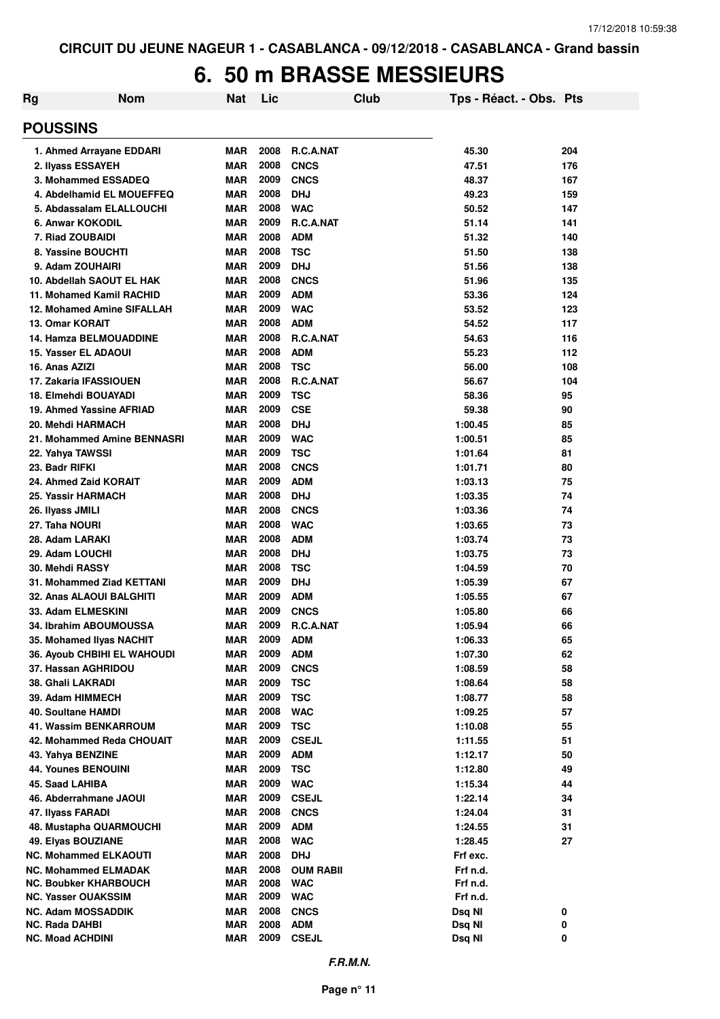### **6. 50 m BRASSE MESSIEURS**

| Rg                                                 | <b>Nom</b>                                              | Nat               | Lic          |                           | Club | Tps - Réact. - Obs. Pts |            |
|----------------------------------------------------|---------------------------------------------------------|-------------------|--------------|---------------------------|------|-------------------------|------------|
| <b>POUSSINS</b>                                    |                                                         |                   |              |                           |      |                         |            |
|                                                    | 1. Ahmed Arrayane EDDARI                                | <b>MAR</b>        | 2008         | <b>R.C.A.NAT</b>          |      | 45.30                   | 204        |
| 2. Ilyass ESSAYEH                                  |                                                         | <b>MAR</b>        | 2008         | <b>CNCS</b>               |      | 47.51                   | 176        |
|                                                    | 3. Mohammed ESSADEQ                                     | <b>MAR</b>        | 2009         | <b>CNCS</b>               |      | 48.37                   | 167        |
|                                                    | 4. Abdelhamid EL MOUEFFEQ                               | <b>MAR</b>        | 2008         | <b>DHJ</b>                |      | 49.23                   | 159        |
|                                                    | 5. Abdassalam ELALLOUCHI                                | <b>MAR</b>        | 2008         | <b>WAC</b>                |      | 50.52                   | 147        |
| 6. Anwar KOKODIL                                   |                                                         | <b>MAR</b>        | 2009         | R.C.A.NAT                 |      | 51.14                   | 141        |
| 7. Riad ZOUBAIDI                                   |                                                         | <b>MAR</b>        | 2008         | <b>ADM</b>                |      | 51.32                   | 140        |
|                                                    | 8. Yassine BOUCHTI                                      | MAR               | 2008         | <b>TSC</b>                |      | 51.50                   | 138        |
| 9. Adam ZOUHAIRI                                   |                                                         | <b>MAR</b>        | 2009         | <b>DHJ</b>                |      | 51.56                   | 138        |
|                                                    | 10. Abdellah SAOUT EL HAK                               | MAR               | 2008         | <b>CNCS</b>               |      | 51.96                   | 135        |
|                                                    | 11. Mohamed Kamil RACHID                                | MAR               | 2009         | <b>ADM</b>                |      | 53.36                   | 124        |
| <b>13. Omar KORAIT</b>                             | 12. Mohamed Amine SIFALLAH                              | MAR<br><b>MAR</b> | 2009<br>2008 | <b>WAC</b><br><b>ADM</b>  |      | 53.52<br>54.52          | 123<br>117 |
|                                                    | <b>14. Hamza BELMOUADDINE</b>                           | <b>MAR</b>        | 2008         | R.C.A.NAT                 |      | 54.63                   | 116        |
| <b>15. Yasser EL ADAOUI</b>                        |                                                         | <b>MAR</b>        | 2008         | <b>ADM</b>                |      | 55.23                   | 112        |
| 16. Anas AZIZI                                     |                                                         | <b>MAR</b>        | 2008         | <b>TSC</b>                |      | 56.00                   | 108        |
|                                                    | 17. Zakaria IFASSIOUEN                                  | <b>MAR</b>        | 2008         | R.C.A.NAT                 |      | 56.67                   | 104        |
|                                                    | 18. Elmehdi BOUAYADI                                    | <b>MAR</b>        | 2009         | <b>TSC</b>                |      | 58.36                   | 95         |
|                                                    | 19. Ahmed Yassine AFRIAD                                | <b>MAR</b>        | 2009         | <b>CSE</b>                |      | 59.38                   | 90         |
| 20. Mehdi HARMACH                                  |                                                         | <b>MAR</b>        | 2008         | <b>DHJ</b>                |      | 1:00.45                 | 85         |
|                                                    | 21. Mohammed Amine BENNASRI                             | MAR               | 2009         | <b>WAC</b>                |      | 1:00.51                 | 85         |
| 22. Yahya TAWSSI                                   |                                                         | <b>MAR</b>        | 2009         | <b>TSC</b>                |      | 1:01.64                 | 81         |
| 23. Badr RIFKI                                     |                                                         | <b>MAR</b>        | 2008         | <b>CNCS</b>               |      | 1:01.71                 | 80         |
|                                                    | 24. Ahmed Zaid KORAIT                                   | <b>MAR</b>        | 2009         | <b>ADM</b>                |      | 1:03.13                 | 75         |
| 25. Yassir HARMACH                                 |                                                         | <b>MAR</b>        | 2008         | <b>DHJ</b>                |      | 1:03.35                 | 74         |
| 26. Ilyass JMILI                                   |                                                         | <b>MAR</b>        | 2008         | <b>CNCS</b>               |      | 1:03.36                 | 74         |
| 27. Taha NOURI                                     |                                                         | <b>MAR</b>        | 2008         | <b>WAC</b>                |      | 1:03.65                 | 73         |
| 28. Adam LARAKI                                    |                                                         | <b>MAR</b>        | 2008         | <b>ADM</b>                |      | 1:03.74                 | 73         |
| 29. Adam LOUCHI                                    |                                                         | <b>MAR</b>        | 2008         | <b>DHJ</b>                |      | 1:03.75                 | 73         |
| 30. Mehdi RASSY                                    |                                                         | <b>MAR</b>        | 2008         | <b>TSC</b>                |      | 1:04.59                 | 70         |
|                                                    | <b>31. Mohammed Ziad KETTANI</b>                        | <b>MAR</b>        | 2009         | <b>DHJ</b>                |      | 1:05.39                 | 67         |
|                                                    | 32. Anas ALAOUI BALGHITI                                | <b>MAR</b>        | 2009         | <b>ADM</b>                |      | 1:05.55                 | 67         |
| 33. Adam ELMESKINI                                 |                                                         | <b>MAR</b>        | 2009         | <b>CNCS</b>               |      | 1:05.80                 | 66         |
|                                                    | 34. Ibrahim ABOUMOUSSA                                  | MAR               | 2009<br>2009 | <b>R.C.A.NAT</b>          |      | 1:05.94                 | 66         |
|                                                    | 35. Mohamed Ilyas NACHIT<br>36. Ayoub CHBIHI EL WAHOUDI | MAR<br><b>MAR</b> | 2009         | <b>ADM</b><br><b>ADM</b>  |      | 1:06.33<br>1:07.30      | 65<br>62   |
|                                                    | 37. Hassan AGHRIDOU                                     | <b>MAR</b>        | 2009         | <b>CNCS</b>               |      | 1:08.59                 | 58         |
| 38. Ghali LAKRADI                                  |                                                         | <b>MAR</b>        | 2009         | <b>TSC</b>                |      | 1:08.64                 | 58         |
| 39. Adam HIMMECH                                   |                                                         | <b>MAR</b>        | 2009         | <b>TSC</b>                |      | 1:08.77                 | 58         |
| <b>40. Soultane HAMDI</b>                          |                                                         | <b>MAR</b>        | 2008         | <b>WAC</b>                |      | 1:09.25                 | 57         |
|                                                    | <b>41. Wassim BENKARROUM</b>                            | <b>MAR</b>        | 2009         | <b>TSC</b>                |      | 1:10.08                 | 55         |
|                                                    | 42. Mohammed Reda CHOUAIT                               | <b>MAR</b>        | 2009         | <b>CSEJL</b>              |      | 1:11.55                 | 51         |
| 43. Yahya BENZINE                                  |                                                         | <b>MAR</b>        | 2009         | <b>ADM</b>                |      | 1:12.17                 | 50         |
| 44. Younes BENOUINI                                |                                                         | <b>MAR</b>        | 2009         | <b>TSC</b>                |      | 1:12.80                 | 49         |
| 45. Saad LAHIBA                                    |                                                         | <b>MAR</b>        | 2009         | <b>WAC</b>                |      | 1:15.34                 | 44         |
|                                                    | 46. Abderrahmane JAOUI                                  | <b>MAR</b>        | 2009         | <b>CSEJL</b>              |      | 1:22.14                 | 34         |
| 47. Ilyass FARADI                                  |                                                         | <b>MAR</b>        | 2008         | <b>CNCS</b>               |      | 1:24.04                 | 31         |
|                                                    | <b>48. Mustapha QUARMOUCHI</b>                          | MAR               | 2009         | <b>ADM</b>                |      | 1:24.55                 | 31         |
| 49. Elyas BOUZIANE                                 |                                                         | <b>MAR</b>        | 2008         | <b>WAC</b>                |      | 1:28.45                 | 27         |
|                                                    | <b>NC. Mohammed ELKAOUTI</b>                            | <b>MAR</b>        | 2008         | <b>DHJ</b>                |      | Frf exc.                |            |
|                                                    | <b>NC. Mohammed ELMADAK</b>                             | MAR               | 2008         | <b>OUM RABII</b>          |      | Frf n.d.                |            |
|                                                    | <b>NC. Boubker KHARBOUCH</b>                            | <b>MAR</b>        | 2008         | <b>WAC</b>                |      | Frf n.d.                |            |
| <b>NC. Yasser OUAKSSIM</b>                         |                                                         | MAR               | 2009<br>2008 | <b>WAC</b>                |      | Frf n.d.                |            |
| <b>NC. Adam MOSSADDIK</b><br><b>NC. Rada DAHBI</b> |                                                         | MAR<br><b>MAR</b> | 2008         | <b>CNCS</b><br><b>ADM</b> |      | Dsq NI<br>Dsq NI        | 0<br>0     |
| <b>NC. Moad ACHDINI</b>                            |                                                         | <b>MAR</b>        | 2009         | <b>CSEJL</b>              |      | Dsq NI                  | 0          |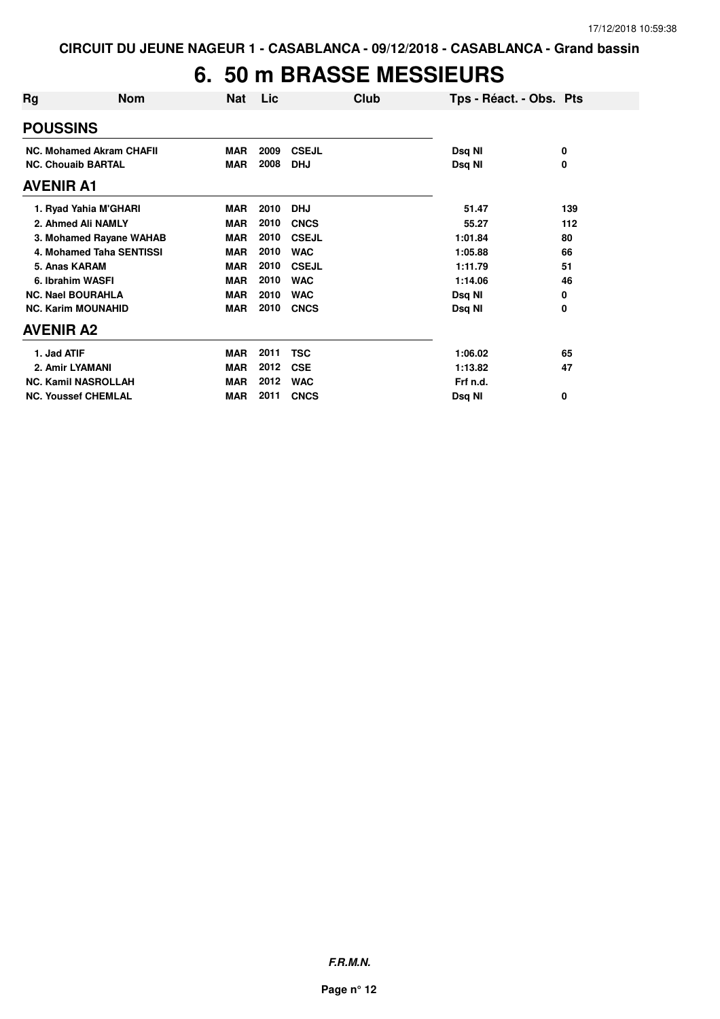# **6. 50 m BRASSE MESSIEURS**

| Rg               | <b>Nom</b>                      | Nat        | Lic  |              | Club | Tps - Réact. - Obs. Pts |     |
|------------------|---------------------------------|------------|------|--------------|------|-------------------------|-----|
| <b>POUSSINS</b>  |                                 |            |      |              |      |                         |     |
|                  | <b>NC. Mohamed Akram CHAFII</b> | <b>MAR</b> | 2009 | <b>CSEJL</b> |      | Dsq NI                  | 0   |
|                  | <b>NC. Chouaib BARTAL</b>       | <b>MAR</b> | 2008 | <b>DHJ</b>   |      | Dsq NI                  | 0   |
| <b>AVENIR A1</b> |                                 |            |      |              |      |                         |     |
|                  | 1. Ryad Yahia M'GHARI           | <b>MAR</b> | 2010 | <b>DHJ</b>   |      | 51.47                   | 139 |
|                  | 2. Ahmed Ali NAMLY              | <b>MAR</b> | 2010 | <b>CNCS</b>  |      | 55.27                   | 112 |
|                  | 3. Mohamed Rayane WAHAB         | <b>MAR</b> | 2010 | <b>CSEJL</b> |      | 1:01.84                 | 80  |
|                  | 4. Mohamed Taha SENTISSI        | <b>MAR</b> | 2010 | <b>WAC</b>   |      | 1:05.88                 | 66  |
| 5. Anas KARAM    |                                 | <b>MAR</b> | 2010 | <b>CSEJL</b> |      | 1:11.79                 | 51  |
|                  | 6. Ibrahim WASFI                | <b>MAR</b> | 2010 | <b>WAC</b>   |      | 1:14.06                 | 46  |
|                  | <b>NC. Nael BOURAHLA</b>        | <b>MAR</b> | 2010 | <b>WAC</b>   |      | Dsq NI                  | 0   |
|                  | <b>NC. Karim MOUNAHID</b>       | <b>MAR</b> | 2010 | <b>CNCS</b>  |      | Dsq NI                  | 0   |
| <b>AVENIR A2</b> |                                 |            |      |              |      |                         |     |
| 1. Jad ATIF      |                                 | <b>MAR</b> | 2011 | <b>TSC</b>   |      | 1:06.02                 | 65  |
| 2. Amir LYAMANI  |                                 | <b>MAR</b> | 2012 | <b>CSE</b>   |      | 1:13.82                 | 47  |
|                  | <b>NC. Kamil NASROLLAH</b>      | <b>MAR</b> | 2012 | <b>WAC</b>   |      | Frf n.d.                |     |
|                  | <b>NC. Youssef CHEMLAL</b>      | <b>MAR</b> | 2011 | <b>CNCS</b>  |      | Dsq NI                  | 0   |

**F.R.M.N.**

**Page n° 12**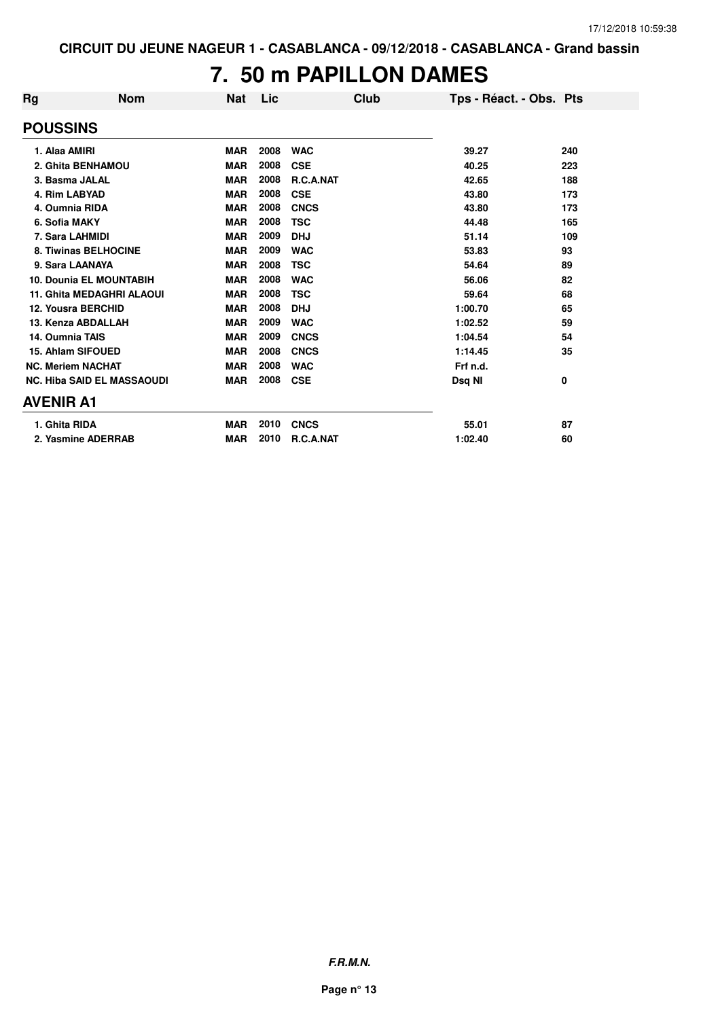#### **7. 50 m PAPILLON DAMES**

| Rg                       | <b>Nom</b>                        | <b>Nat</b> | Lic  | Club             | Tps - Réact. - Obs. Pts |     |
|--------------------------|-----------------------------------|------------|------|------------------|-------------------------|-----|
| <b>POUSSINS</b>          |                                   |            |      |                  |                         |     |
| 1. Alaa AMIRI            |                                   | <b>MAR</b> | 2008 | <b>WAC</b>       | 39.27                   | 240 |
|                          | 2. Ghita BENHAMOU                 | <b>MAR</b> | 2008 | <b>CSE</b>       | 40.25                   | 223 |
| 3. Basma JALAL           |                                   | <b>MAR</b> | 2008 | R.C.A.NAT        | 42.65                   | 188 |
| 4. Rim LABYAD            |                                   | <b>MAR</b> | 2008 | <b>CSE</b>       | 43.80                   | 173 |
| 4. Oumnia RIDA           |                                   | <b>MAR</b> | 2008 | <b>CNCS</b>      | 43.80                   | 173 |
| 6. Sofia MAKY            |                                   | <b>MAR</b> | 2008 | <b>TSC</b>       | 44.48                   | 165 |
| 7. Sara LAHMIDI          |                                   | <b>MAR</b> | 2009 | <b>DHJ</b>       | 51.14                   | 109 |
|                          | 8. Tiwinas BELHOCINE              | <b>MAR</b> | 2009 | <b>WAC</b>       | 53.83                   | 93  |
| 9. Sara LAANAYA          |                                   | <b>MAR</b> | 2008 | <b>TSC</b>       | 54.64                   | 89  |
|                          | <b>10. Dounia EL MOUNTABIH</b>    | <b>MAR</b> | 2008 | <b>WAC</b>       | 56.06                   | 82  |
|                          | <b>11. Ghita MEDAGHRI ALAOUI</b>  | <b>MAR</b> | 2008 | <b>TSC</b>       | 59.64                   | 68  |
|                          | <b>12. Yousra BERCHID</b>         | <b>MAR</b> | 2008 | <b>DHJ</b>       | 1:00.70                 | 65  |
|                          | 13. Kenza ABDALLAH                | <b>MAR</b> | 2009 | <b>WAC</b>       | 1:02.52                 | 59  |
| 14. Oumnia TAIS          |                                   | <b>MAR</b> | 2009 | <b>CNCS</b>      | 1:04.54                 | 54  |
|                          | 15. Ahlam SIFOUED                 | <b>MAR</b> | 2008 | <b>CNCS</b>      | 1:14.45                 | 35  |
| <b>NC. Meriem NACHAT</b> |                                   | <b>MAR</b> | 2008 | <b>WAC</b>       | Frf n.d.                |     |
|                          | <b>NC. Hiba SAID EL MASSAOUDI</b> | <b>MAR</b> | 2008 | <b>CSE</b>       | Dsq NI                  | 0   |
| <b>AVENIR A1</b>         |                                   |            |      |                  |                         |     |
| 1. Ghita RIDA            |                                   | <b>MAR</b> | 2010 | <b>CNCS</b>      | 55.01                   | 87  |
|                          | 2. Yasmine ADERRAB                | <b>MAR</b> | 2010 | <b>R.C.A.NAT</b> | 1:02.40                 | 60  |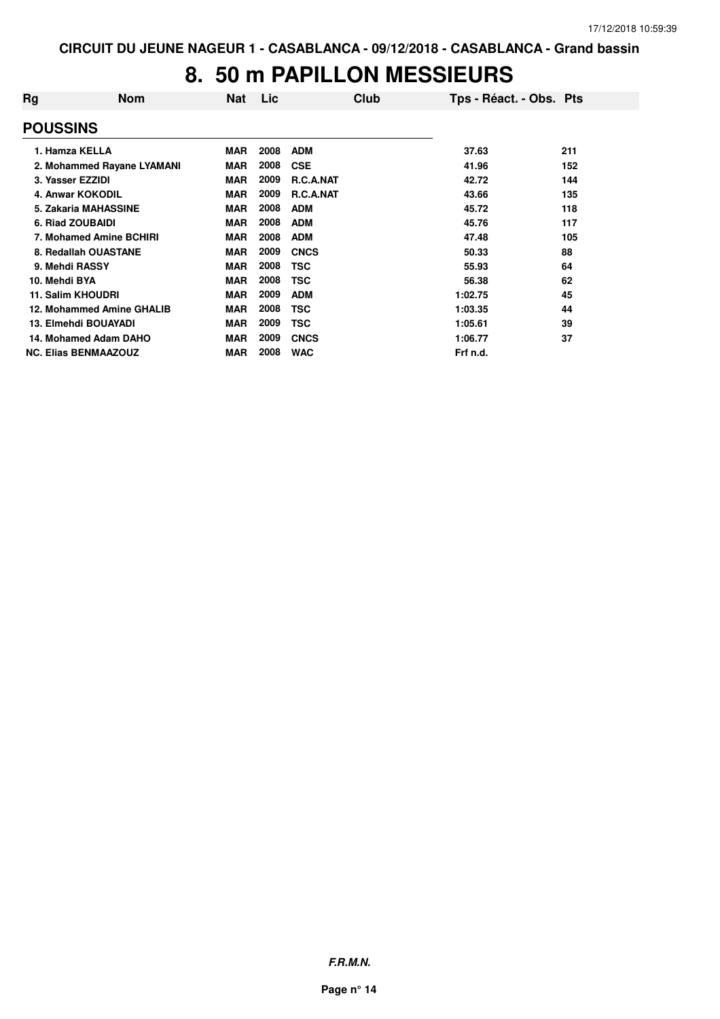# **8. 50 m PAPILLON MESSIEURS**

| Rg               | <b>Nom</b>                  | Nat        | Lic  | <b>Club</b>      | Tps - Réact. - Obs. Pts |     |
|------------------|-----------------------------|------------|------|------------------|-------------------------|-----|
| <b>POUSSINS</b>  |                             |            |      |                  |                         |     |
|                  | 1. Hamza KELLA              | <b>MAR</b> | 2008 | <b>ADM</b>       | 37.63                   | 211 |
|                  | 2. Mohammed Rayane LYAMANI  | <b>MAR</b> | 2008 | <b>CSE</b>       | 41.96                   | 152 |
| 3. Yasser EZZIDI |                             | <b>MAR</b> | 2009 | <b>R.C.A.NAT</b> | 42.72                   | 144 |
|                  | 4. Anwar KOKODIL            | <b>MAR</b> | 2009 | <b>R.C.A.NAT</b> | 43.66                   | 135 |
|                  | 5. Zakaria MAHASSINE        | <b>MAR</b> | 2008 | <b>ADM</b>       | 45.72                   | 118 |
|                  | 6. Riad ZOUBAIDI            | <b>MAR</b> | 2008 | <b>ADM</b>       | 45.76                   | 117 |
|                  | 7. Mohamed Amine BCHIRI     | <b>MAR</b> | 2008 | <b>ADM</b>       | 47.48                   | 105 |
|                  | 8. Redallah OUASTANE        | <b>MAR</b> | 2009 | <b>CNCS</b>      | 50.33                   | 88  |
| 9. Mehdi RASSY   |                             | <b>MAR</b> | 2008 | TSC              | 55.93                   | 64  |
| 10. Mehdi BYA    |                             | <b>MAR</b> | 2008 | TSC              | 56.38                   | 62  |
|                  | 11. Salim KHOUDRI           | <b>MAR</b> | 2009 | <b>ADM</b>       | 1:02.75                 | 45  |
|                  | 12. Mohammed Amine GHALIB   | <b>MAR</b> | 2008 | <b>TSC</b>       | 1:03.35                 | 44  |
|                  | 13. Elmehdi BOUAYADI        | <b>MAR</b> | 2009 | TSC              | 1:05.61                 | 39  |
|                  | 14. Mohamed Adam DAHO       | <b>MAR</b> | 2009 | <b>CNCS</b>      | 1:06.77                 | 37  |
|                  | <b>NC. Elias BENMAAZOUZ</b> | <b>MAR</b> | 2008 | <b>WAC</b>       | Frf n.d.                |     |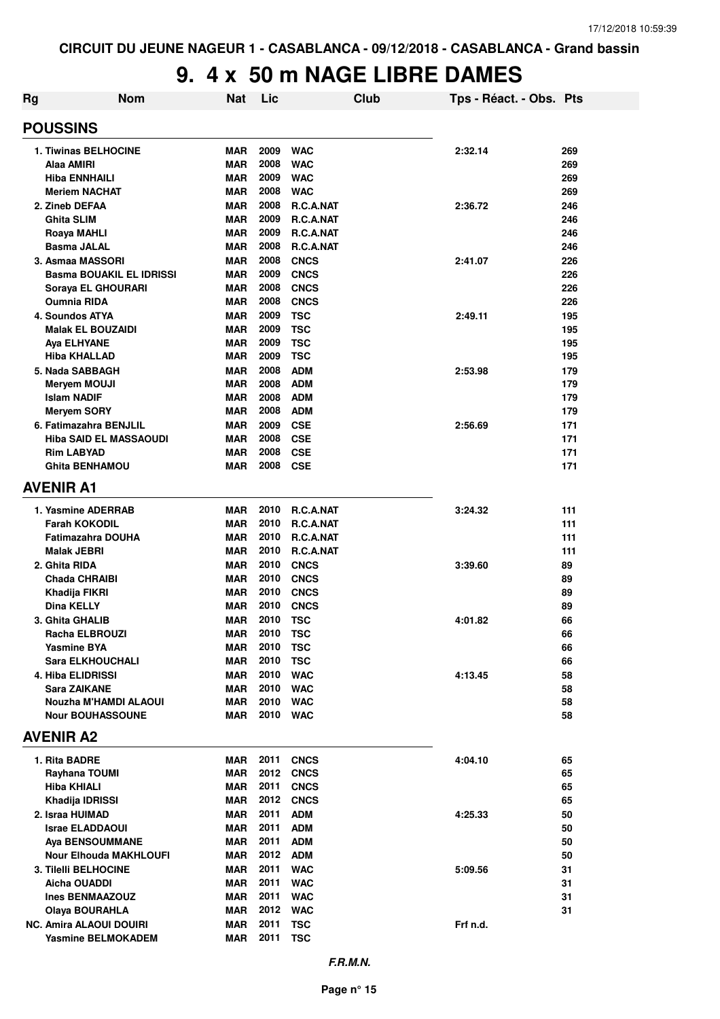# **9. 4 x 50 m NAGE LIBRE DAMES**

| Rg                                 | <b>Nom</b>                      | <b>Nat</b>               | Lic          |                          | <b>Club</b> | Tps - Réact. - Obs. Pts |            |
|------------------------------------|---------------------------------|--------------------------|--------------|--------------------------|-------------|-------------------------|------------|
| <b>POUSSINS</b>                    |                                 |                          |              |                          |             |                         |            |
| <b>1. Tiwinas BELHOCINE</b>        |                                 | <b>MAR</b>               | 2009         | <b>WAC</b>               |             | 2:32.14                 | 269        |
| Alaa AMIRI                         |                                 | <b>MAR</b>               | 2008         | <b>WAC</b>               |             |                         | 269        |
| Hiba ENNHAILI                      |                                 | <b>MAR</b>               | 2009         | <b>WAC</b>               |             |                         | 269        |
| <b>Meriem NACHAT</b>               |                                 | <b>MAR</b>               | 2008         | <b>WAC</b>               |             |                         | 269        |
| 2. Zineb DEFAA                     |                                 | <b>MAR</b>               | 2008         | R.C.A.NAT                |             | 2:36.72                 | 246        |
| Ghita SLIM                         |                                 | <b>MAR</b>               | 2009         | R.C.A.NAT                |             |                         | 246        |
| Roaya MAHLI                        |                                 | <b>MAR</b>               | 2009         | R.C.A.NAT                |             |                         | 246        |
| <b>Basma JALAL</b>                 |                                 | <b>MAR</b>               | 2008         | R.C.A.NAT                |             |                         | 246        |
| 3. Asmaa MASSORI                   |                                 | <b>MAR</b>               | 2008         | <b>CNCS</b>              |             | 2:41.07                 | 226        |
|                                    | <b>Basma BOUAKIL EL IDRISSI</b> | <b>MAR</b>               | 2009         | <b>CNCS</b>              |             |                         | 226        |
| Soraya EL GHOURARI                 |                                 | <b>MAR</b>               | 2008         | <b>CNCS</b>              |             |                         | 226        |
| <b>Oumnia RIDA</b>                 |                                 | <b>MAR</b>               | 2008         | <b>CNCS</b>              |             |                         | 226        |
| <b>4. Soundos ATYA</b>             |                                 | <b>MAR</b>               | 2009         | <b>TSC</b>               |             | 2:49.11                 | 195        |
| <b>Malak EL BOUZAIDI</b>           |                                 | <b>MAR</b>               | 2009         | <b>TSC</b>               |             |                         | 195        |
| Aya ELHYANE                        |                                 | <b>MAR</b>               | 2009<br>2009 | <b>TSC</b>               |             |                         | 195        |
| <b>Hiba KHALLAD</b>                |                                 | <b>MAR</b><br><b>MAR</b> | 2008         | <b>TSC</b><br><b>ADM</b> |             | 2:53.98                 | 195        |
| 5. Nada SABBAGH                    |                                 | <b>MAR</b>               | 2008         | <b>ADM</b>               |             |                         | 179<br>179 |
| Meryem MOUJI<br><b>Islam NADIF</b> |                                 | <b>MAR</b>               | 2008         | <b>ADM</b>               |             |                         | 179        |
| <b>Meryem SORY</b>                 |                                 | <b>MAR</b>               | 2008         | <b>ADM</b>               |             |                         | 179        |
| 6. Fatimazahra BENJLIL             |                                 | <b>MAR</b>               | 2009         | <b>CSE</b>               |             | 2:56.69                 | 171        |
|                                    | <b>Hiba SAID EL MASSAOUDI</b>   | <b>MAR</b>               | 2008         | <b>CSE</b>               |             |                         | 171        |
| <b>Rim LABYAD</b>                  |                                 | <b>MAR</b>               | 2008         | <b>CSE</b>               |             |                         | 171        |
| <b>Ghita BENHAMOU</b>              |                                 | <b>MAR</b>               | 2008         | <b>CSE</b>               |             |                         | 171        |
| <b>AVENIR A1</b>                   |                                 |                          |              |                          |             |                         |            |
|                                    |                                 |                          |              |                          |             |                         |            |
| 1. Yasmine ADERRAB                 |                                 | <b>MAR</b>               | 2010         | R.C.A.NAT                |             | 3:24.32                 | 111        |
| <b>Farah KOKODIL</b>               |                                 | <b>MAR</b>               | 2010         | R.C.A.NAT                |             |                         | 111        |
| <b>Fatimazahra DOUHA</b>           |                                 | <b>MAR</b>               | 2010         | R.C.A.NAT                |             |                         | 111        |
| <b>Malak JEBRI</b>                 |                                 | <b>MAR</b>               | 2010         | R.C.A.NAT                |             |                         | 111        |
| 2. Ghita RIDA                      |                                 | <b>MAR</b>               | 2010         | <b>CNCS</b>              |             | 3:39.60                 | 89         |
| <b>Chada CHRAIBI</b>               |                                 | <b>MAR</b>               | 2010         | <b>CNCS</b>              |             |                         | 89         |
| Khadija FIKRI                      |                                 | <b>MAR</b>               | 2010         | <b>CNCS</b>              |             |                         | 89         |
| <b>Dina KELLY</b>                  |                                 | <b>MAR</b>               | 2010         | <b>CNCS</b>              |             |                         | 89         |
| 3. Ghita GHALIB                    |                                 | <b>MAR</b>               | 2010         | <b>TSC</b>               |             | 4:01.82                 | 66         |
| Racha ELBROUZI                     |                                 | <b>MAR</b>               | 2010         | <b>TSC</b>               |             |                         | 66         |
| <b>Yasmine BYA</b>                 |                                 | MAR                      | 2010         | <b>TSC</b>               |             |                         | 66         |
| <b>Sara ELKHOUCHALI</b>            |                                 | MAR                      | 2010         | <b>TSC</b>               |             |                         | 66         |
| 4. Hiba ELIDRISSI                  |                                 | <b>MAR</b>               | 2010         | <b>WAC</b>               |             | 4:13.45                 | 58         |
| Sara ZAIKANE                       |                                 | <b>MAR</b>               | 2010         | <b>WAC</b>               |             |                         | 58         |
| <b>Nour BOUHASSOUNE</b>            | Nouzha M'HAMDI ALAOUI           | MAR<br>MAR               | 2010<br>2010 | <b>WAC</b><br><b>WAC</b> |             |                         | 58<br>58   |
| <b>AVENIR A2</b>                   |                                 |                          |              |                          |             |                         |            |
|                                    |                                 |                          |              |                          |             |                         |            |
| 1. Rita BADRE                      |                                 | MAR                      | 2011         | <b>CNCS</b>              |             | 4:04.10                 | 65         |
| Rayhana TOUMI                      |                                 | <b>MAR</b>               | 2012         | <b>CNCS</b>              |             |                         | 65         |
| Hiba KHIALI                        |                                 | MAR                      | 2011         | <b>CNCS</b>              |             |                         | 65         |
| Khadija IDRISSI                    |                                 | <b>MAR</b>               | 2012         | <b>CNCS</b>              |             |                         | 65         |
| 2. Israa HUIMAD                    |                                 | <b>MAR</b>               | 2011         | <b>ADM</b>               |             | 4:25.33                 | 50         |
| <b>Israe ELADDAOUI</b>             |                                 | <b>MAR</b>               | 2011         | <b>ADM</b>               |             |                         | 50         |
| <b>Aya BENSOUMMANE</b>             |                                 | <b>MAR</b>               | 2011         | <b>ADM</b>               |             |                         | 50         |
|                                    | <b>Nour Elhouda MAKHLOUFI</b>   | MAR                      | 2012         | <b>ADM</b>               |             |                         | 50         |
| 3. Tilelli BELHOCINE               |                                 | <b>MAR</b>               | 2011         | <b>WAC</b>               |             | 5:09.56                 | 31         |
| Aicha OUADDI                       |                                 | <b>MAR</b>               | 2011         | <b>WAC</b>               |             |                         | 31         |
| <b>Ines BENMAAZOUZ</b>             |                                 | <b>MAR</b>               | 2011         | <b>WAC</b>               |             |                         | 31         |
| <b>Olaya BOURAHLA</b>              |                                 | MAR                      | 2012         | <b>WAC</b>               |             |                         | 31         |
| <b>NC. Amira ALAOUI DOUIRI</b>     |                                 | MAR                      | 2011         | <b>TSC</b>               |             | Frf n.d.                |            |
| <b>Yasmine BELMOKADEM</b>          |                                 | MAR                      | 2011         | <b>TSC</b>               |             |                         |            |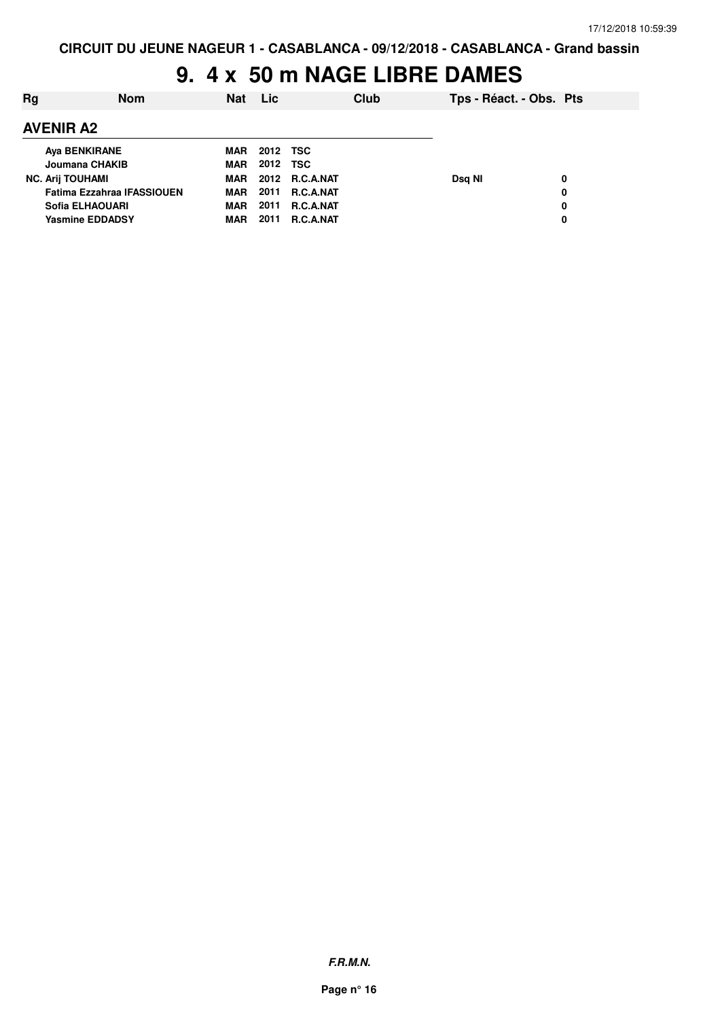# **9. 4 x 50 m NAGE LIBRE DAMES**

| Rg | <b>Nom</b>                        | <b>Nat</b> | <b>Lic</b> |                  | Club | Tps - Réact. - Obs. Pts |   |
|----|-----------------------------------|------------|------------|------------------|------|-------------------------|---|
|    | <b>AVENIR A2</b>                  |            |            |                  |      |                         |   |
|    | <b>Aya BENKIRANE</b>              | <b>MAR</b> | 2012 TSC   |                  |      |                         |   |
|    | Joumana CHAKIB                    | <b>MAR</b> | 2012 TSC   |                  |      |                         |   |
|    | <b>NC. Arij TOUHAMI</b>           | <b>MAR</b> |            | 2012 R.C.A.NAT   |      | Dsg NI                  | 0 |
|    | <b>Fatima Ezzahraa IFASSIOUEN</b> | <b>MAR</b> | 2011       | <b>R.C.A.NAT</b> |      |                         | 0 |
|    | Sofia ELHAOUARI                   | <b>MAR</b> | 2011       | <b>R.C.A.NAT</b> |      |                         | 0 |
|    | <b>Yasmine EDDADSY</b>            | MAR        | 2011       | <b>R.C.A.NAT</b> |      |                         | 0 |
|    |                                   |            |            |                  |      |                         |   |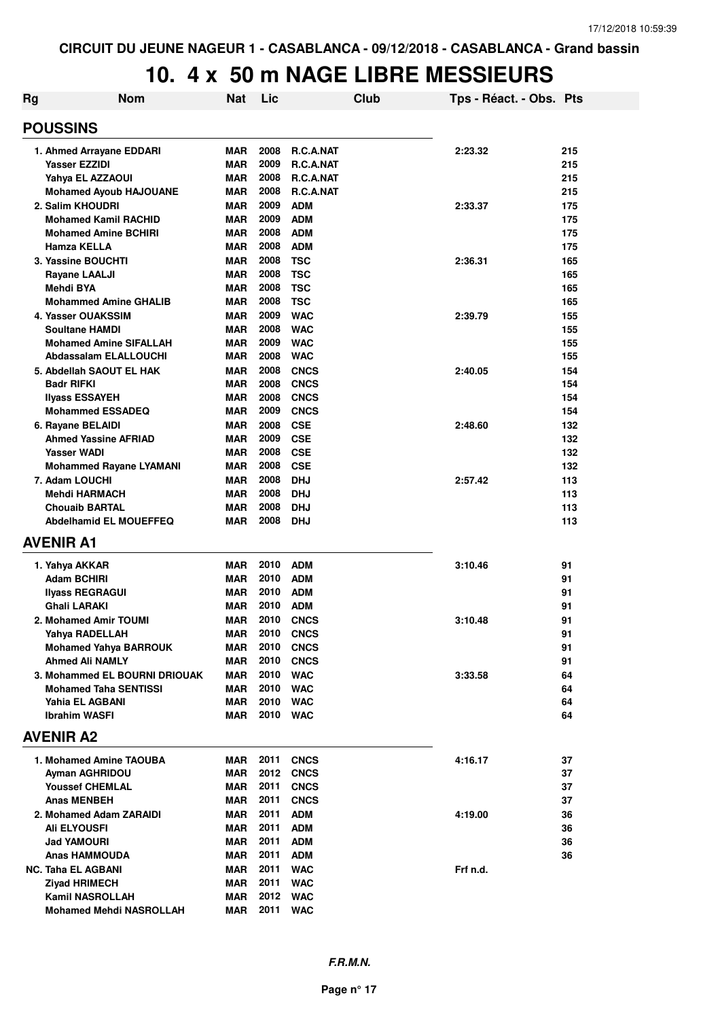| Rg | <b>Nom</b>                     | <b>Nat</b> | Lic  | Club             | Tps - Réact. - Obs. Pts |     |
|----|--------------------------------|------------|------|------------------|-------------------------|-----|
|    | <b>POUSSINS</b>                |            |      |                  |                         |     |
|    | 1. Ahmed Arrayane EDDARI       | <b>MAR</b> | 2008 | R.C.A.NAT        | 2:23.32                 | 215 |
|    | <b>Yasser EZZIDI</b>           | <b>MAR</b> | 2009 | R.C.A.NAT        |                         | 215 |
|    | Yahya EL AZZAOUI               | <b>MAR</b> | 2008 | R.C.A.NAT        |                         | 215 |
|    | <b>Mohamed Ayoub HAJOUANE</b>  | <b>MAR</b> | 2008 | R.C.A.NAT        |                         | 215 |
|    | 2. Salim KHOUDRI               | <b>MAR</b> | 2009 | <b>ADM</b>       | 2:33.37                 | 175 |
|    | <b>Mohamed Kamil RACHID</b>    | <b>MAR</b> | 2009 | <b>ADM</b>       |                         | 175 |
|    | <b>Mohamed Amine BCHIRI</b>    | <b>MAR</b> | 2008 | <b>ADM</b>       |                         | 175 |
|    | <b>Hamza KELLA</b>             | <b>MAR</b> | 2008 | <b>ADM</b>       |                         | 175 |
|    | 3. Yassine BOUCHTI             | <b>MAR</b> | 2008 | <b>TSC</b>       | 2:36.31                 | 165 |
|    | <b>Rayane LAALJI</b>           | <b>MAR</b> | 2008 | <b>TSC</b>       |                         | 165 |
|    | Mehdi BYA                      | <b>MAR</b> | 2008 | <b>TSC</b>       |                         | 165 |
|    | <b>Mohammed Amine GHALIB</b>   | <b>MAR</b> | 2008 | <b>TSC</b>       |                         | 165 |
|    | 4. Yasser OUAKSSIM             | <b>MAR</b> | 2009 | <b>WAC</b>       | 2:39.79                 | 155 |
|    | <b>Soultane HAMDI</b>          | <b>MAR</b> | 2008 | <b>WAC</b>       |                         | 155 |
|    | <b>Mohamed Amine SIFALLAH</b>  | <b>MAR</b> | 2009 | <b>WAC</b>       |                         | 155 |
|    | <b>Abdassalam ELALLOUCHI</b>   | <b>MAR</b> | 2008 | <b>WAC</b>       |                         | 155 |
|    | 5. Abdellah SAOUT EL HAK       | <b>MAR</b> | 2008 | <b>CNCS</b>      | 2:40.05                 | 154 |
|    | <b>Badr RIFKI</b>              | <b>MAR</b> | 2008 | <b>CNCS</b>      |                         | 154 |
|    | <b>Ilyass ESSAYEH</b>          | <b>MAR</b> | 2008 | <b>CNCS</b>      |                         | 154 |
|    | <b>Mohammed ESSADEQ</b>        | <b>MAR</b> | 2009 | <b>CNCS</b>      |                         | 154 |
|    | 6. Rayane BELAIDI              | MAR        | 2008 | <b>CSE</b>       | 2:48.60                 | 132 |
|    | <b>Ahmed Yassine AFRIAD</b>    | <b>MAR</b> | 2009 | <b>CSE</b>       |                         | 132 |
|    | <b>Yasser WADI</b>             | <b>MAR</b> | 2008 | <b>CSE</b>       |                         | 132 |
|    | <b>Mohammed Rayane LYAMANI</b> | <b>MAR</b> | 2008 | <b>CSE</b>       |                         | 132 |
|    | 7. Adam LOUCHI                 | <b>MAR</b> | 2008 | <b>DHJ</b>       | 2:57.42                 | 113 |
|    | <b>Mehdi HARMACH</b>           | <b>MAR</b> | 2008 | <b>DHJ</b>       |                         | 113 |
|    | <b>Chouaib BARTAL</b>          | <b>MAR</b> | 2008 | <b>DHJ</b>       |                         | 113 |
|    | <b>Abdelhamid EL MOUEFFEQ</b>  | <b>MAR</b> | 2008 | <b>DHJ</b>       |                         | 113 |
|    | <b>AVENIR A1</b>               |            |      |                  |                         |     |
|    | 1. Yahya AKKAR                 | <b>MAR</b> | 2010 | ADM              | 3:10.46                 | 91  |
|    | <b>Adam BCHIRI</b>             | <b>MAR</b> | 2010 | <b>ADM</b>       |                         | 91  |
|    | <b>Ilyass REGRAGUI</b>         | <b>MAR</b> | 2010 | <b>ADM</b>       |                         | 91  |
|    | <b>Ghali LARAKI</b>            | <b>MAR</b> | 2010 | <b>ADM</b>       |                         | 91  |
|    | 2. Mohamed Amir TOUMI          | <b>MAR</b> | 2010 | <b>CNCS</b>      | 3:10.48                 | 91  |
|    | Yahya RADELLAH                 | <b>MAR</b> | 2010 | <b>CNCS</b>      |                         | 91  |
|    | <b>Mohamed Yahya BARROUK</b>   | MAR        |      | <b>2010 CNCS</b> |                         | 91  |
|    | <b>Ahmed Ali NAMLY</b>         | <b>MAR</b> | 2010 | <b>CNCS</b>      |                         | 91  |
|    | 3. Mohammed EL BOURNI DRIOUAK  | <b>MAR</b> | 2010 | <b>WAC</b>       | 3:33.58                 | 64  |
|    | <b>Mohamed Taha SENTISSI</b>   | <b>MAR</b> | 2010 | <b>WAC</b>       |                         | 64  |
|    | Yahia EL AGBANI                | <b>MAR</b> | 2010 | <b>WAC</b>       |                         | 64  |
|    | <b>Ibrahim WASFI</b>           | <b>MAR</b> | 2010 | <b>WAC</b>       |                         | 64  |
|    | <b>AVENIR A2</b>               |            |      |                  |                         |     |
|    | 1. Mohamed Amine TAOUBA        | MAR        | 2011 | <b>CNCS</b>      | 4:16.17                 | 37  |
|    | Ayman AGHRIDOU                 | MAR        |      | <b>2012 CNCS</b> |                         | 37  |
|    | <b>Youssef CHEMLAL</b>         | <b>MAR</b> | 2011 | <b>CNCS</b>      |                         | 37  |
|    | <b>Anas MENBEH</b>             | <b>MAR</b> | 2011 | <b>CNCS</b>      |                         | 37  |
|    | 2. Mohamed Adam ZARAIDI        | <b>MAR</b> | 2011 | <b>ADM</b>       | 4:19.00                 | 36  |
|    | <b>Ali ELYOUSFI</b>            | <b>MAR</b> | 2011 | <b>ADM</b>       |                         | 36  |
|    | <b>Jad YAMOURI</b>             | <b>MAR</b> | 2011 | <b>ADM</b>       |                         | 36  |
|    | <b>Anas HAMMOUDA</b>           | <b>MAR</b> | 2011 | <b>ADM</b>       |                         | 36  |
|    | <b>NC. Taha EL AGBANI</b>      | <b>MAR</b> | 2011 | <b>WAC</b>       | Frf n.d.                |     |
|    | <b>Ziyad HRIMECH</b>           | <b>MAR</b> | 2011 | <b>WAC</b>       |                         |     |
|    | <b>Kamil NASROLLAH</b>         | <b>MAR</b> | 2012 | <b>WAC</b>       |                         |     |
|    | <b>Mohamed Mehdi NASROLLAH</b> | <b>MAR</b> | 2011 | <b>WAC</b>       |                         |     |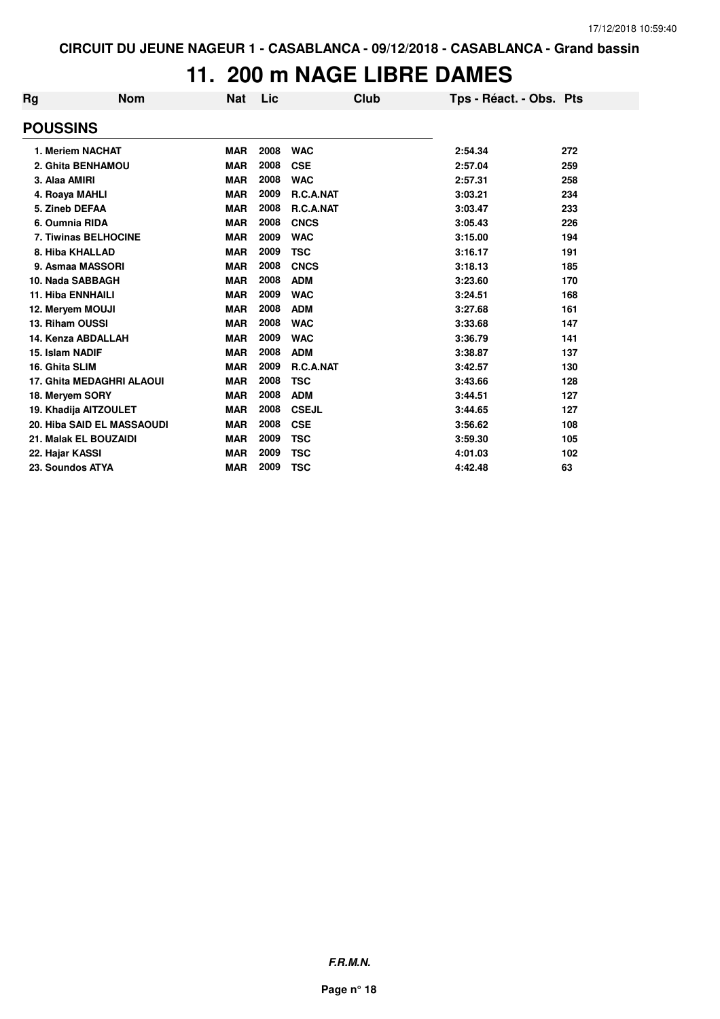### **11. 200 m NAGE LIBRE DAMES**

| Rg              | <b>Nom</b>                       | <b>Nat</b> | Lic  | Club         | Tps - Réact. - Obs. Pts |     |
|-----------------|----------------------------------|------------|------|--------------|-------------------------|-----|
| <b>POUSSINS</b> |                                  |            |      |              |                         |     |
|                 | 1. Meriem NACHAT                 | <b>MAR</b> | 2008 | <b>WAC</b>   | 2:54.34                 | 272 |
|                 | 2. Ghita BENHAMOU                | <b>MAR</b> | 2008 | <b>CSE</b>   | 2:57.04                 | 259 |
| 3. Alaa AMIRI   |                                  | <b>MAR</b> | 2008 | <b>WAC</b>   | 2:57.31                 | 258 |
|                 | 4. Roaya MAHLI                   | <b>MAR</b> | 2009 | R.C.A.NAT    | 3:03.21                 | 234 |
|                 | 5. Zineb DEFAA                   | <b>MAR</b> | 2008 | R.C.A.NAT    | 3:03.47                 | 233 |
|                 | 6. Oumnia RIDA                   | <b>MAR</b> | 2008 | <b>CNCS</b>  | 3:05.43                 | 226 |
|                 | 7. Tiwinas BELHOCINE             | <b>MAR</b> | 2009 | <b>WAC</b>   | 3:15.00                 | 194 |
|                 | 8. Hiba KHALLAD                  | <b>MAR</b> | 2009 | <b>TSC</b>   | 3:16.17                 | 191 |
|                 | 9. Asmaa MASSORI                 | <b>MAR</b> | 2008 | <b>CNCS</b>  | 3:18.13                 | 185 |
|                 | 10. Nada SABBAGH                 | <b>MAR</b> | 2008 | <b>ADM</b>   | 3:23.60                 | 170 |
|                 | <b>11. Hiba ENNHAILI</b>         | <b>MAR</b> | 2009 | <b>WAC</b>   | 3:24.51                 | 168 |
|                 | 12. Meryem MOUJI                 | <b>MAR</b> | 2008 | <b>ADM</b>   | 3:27.68                 | 161 |
|                 | 13. Riham OUSSI                  | <b>MAR</b> | 2008 | <b>WAC</b>   | 3:33.68                 | 147 |
|                 | 14. Kenza ABDALLAH               | <b>MAR</b> | 2009 | <b>WAC</b>   | 3:36.79                 | 141 |
| 15. Islam NADIF |                                  | <b>MAR</b> | 2008 | <b>ADM</b>   | 3:38.87                 | 137 |
| 16. Ghita SLIM  |                                  | <b>MAR</b> | 2009 | R.C.A.NAT    | 3:42.57                 | 130 |
|                 | <b>17. Ghita MEDAGHRI ALAOUI</b> | <b>MAR</b> | 2008 | <b>TSC</b>   | 3:43.66                 | 128 |
|                 | 18. Meryem SORY                  | <b>MAR</b> | 2008 | <b>ADM</b>   | 3:44.51                 | 127 |
|                 | 19. Khadija AITZOULET            | <b>MAR</b> | 2008 | <b>CSEJL</b> | 3:44.65                 | 127 |
|                 | 20. Hiba SAID EL MASSAOUDI       | <b>MAR</b> | 2008 | <b>CSE</b>   | 3:56.62                 | 108 |
|                 | 21. Malak EL BOUZAIDI            | <b>MAR</b> | 2009 | <b>TSC</b>   | 3:59.30                 | 105 |
| 22. Hajar KASSI |                                  | <b>MAR</b> | 2009 | <b>TSC</b>   | 4:01.03                 | 102 |
|                 | 23. Soundos ATYA                 | <b>MAR</b> | 2009 | <b>TSC</b>   | 4:42.48                 | 63  |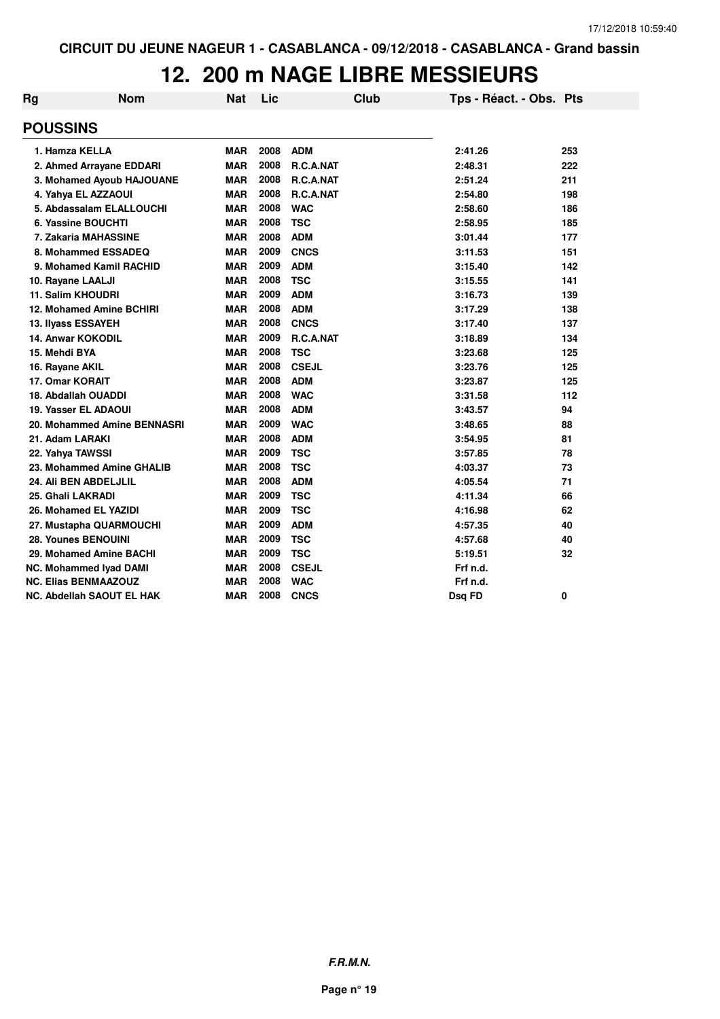| Rg                 | <b>Nom</b>                       | Nat        | Lic  | Club             | Tps - Réact. - Obs. Pts |     |
|--------------------|----------------------------------|------------|------|------------------|-------------------------|-----|
| <b>POUSSINS</b>    |                                  |            |      |                  |                         |     |
| 1. Hamza KELLA     |                                  | <b>MAR</b> | 2008 | <b>ADM</b>       | 2:41.26                 | 253 |
|                    | 2. Ahmed Arrayane EDDARI         | <b>MAR</b> | 2008 | R.C.A.NAT        | 2:48.31                 | 222 |
|                    | 3. Mohamed Ayoub HAJOUANE        | <b>MAR</b> | 2008 | R.C.A.NAT        | 2:51.24                 | 211 |
|                    | 4. Yahya EL AZZAOUI              | <b>MAR</b> | 2008 | <b>R.C.A.NAT</b> | 2:54.80                 | 198 |
|                    | 5. Abdassalam ELALLOUCHI         | <b>MAR</b> | 2008 | <b>WAC</b>       | 2:58.60                 | 186 |
|                    | 6. Yassine BOUCHTI               | <b>MAR</b> | 2008 | <b>TSC</b>       | 2:58.95                 | 185 |
|                    | 7. Zakaria MAHASSINE             | <b>MAR</b> | 2008 | <b>ADM</b>       | 3:01.44                 | 177 |
|                    | 8. Mohammed ESSADEQ              | <b>MAR</b> | 2009 | <b>CNCS</b>      | 3:11.53                 | 151 |
|                    | 9. Mohamed Kamil RACHID          | <b>MAR</b> | 2009 | <b>ADM</b>       | 3:15.40                 | 142 |
| 10. Rayane LAALJI  |                                  | <b>MAR</b> | 2008 | <b>TSC</b>       | 3:15.55                 | 141 |
| 11. Salim KHOUDRI  |                                  | <b>MAR</b> | 2009 | <b>ADM</b>       | 3:16.73                 | 139 |
|                    | 12. Mohamed Amine BCHIRI         | <b>MAR</b> | 2008 | <b>ADM</b>       | 3:17.29                 | 138 |
| 13. Ilyass ESSAYEH |                                  | <b>MAR</b> | 2008 | <b>CNCS</b>      | 3:17.40                 | 137 |
|                    | <b>14. Anwar KOKODIL</b>         | <b>MAR</b> | 2009 | R.C.A.NAT        | 3:18.89                 | 134 |
| 15. Mehdi BYA      |                                  | <b>MAR</b> | 2008 | <b>TSC</b>       | 3:23.68                 | 125 |
| 16. Rayane AKIL    |                                  | <b>MAR</b> | 2008 | <b>CSEJL</b>     | 3:23.76                 | 125 |
| 17. Omar KORAIT    |                                  | <b>MAR</b> | 2008 | <b>ADM</b>       | 3:23.87                 | 125 |
|                    | 18. Abdallah OUADDI              | <b>MAR</b> | 2008 | <b>WAC</b>       | 3:31.58                 | 112 |
|                    | 19. Yasser EL ADAOUI             | <b>MAR</b> | 2008 | <b>ADM</b>       | 3:43.57                 | 94  |
|                    | 20. Mohammed Amine BENNASRI      | <b>MAR</b> | 2009 | <b>WAC</b>       | 3:48.65                 | 88  |
| 21. Adam LARAKI    |                                  | <b>MAR</b> | 2008 | <b>ADM</b>       | 3:54.95                 | 81  |
| 22. Yahya TAWSSI   |                                  | <b>MAR</b> | 2009 | <b>TSC</b>       | 3:57.85                 | 78  |
|                    | 23. Mohammed Amine GHALIB        | <b>MAR</b> | 2008 | <b>TSC</b>       | 4:03.37                 | 73  |
|                    | 24. Ali BEN ABDELJLIL            | <b>MAR</b> | 2008 | <b>ADM</b>       | 4:05.54                 | 71  |
| 25. Ghali LAKRADI  |                                  | <b>MAR</b> | 2009 | <b>TSC</b>       | 4:11.34                 | 66  |
|                    | 26. Mohamed EL YAZIDI            | <b>MAR</b> | 2009 | <b>TSC</b>       | 4:16.98                 | 62  |
|                    | 27. Mustapha QUARMOUCHI          | <b>MAR</b> | 2009 | <b>ADM</b>       | 4:57.35                 | 40  |
|                    | 28. Younes BENOUINI              | <b>MAR</b> | 2009 | <b>TSC</b>       | 4:57.68                 | 40  |
|                    | 29. Mohamed Amine BACHI          | <b>MAR</b> | 2009 | <b>TSC</b>       | 5:19.51                 | 32  |
|                    | NC. Mohammed Iyad DAMI           | <b>MAR</b> | 2008 | <b>CSEJL</b>     | Frf n.d.                |     |
|                    | <b>NC. Elias BENMAAZOUZ</b>      | <b>MAR</b> | 2008 | <b>WAC</b>       | Frf n.d.                |     |
|                    | <b>NC. Abdellah SAOUT EL HAK</b> | <b>MAR</b> | 2008 | <b>CNCS</b>      | Dsq FD                  | 0   |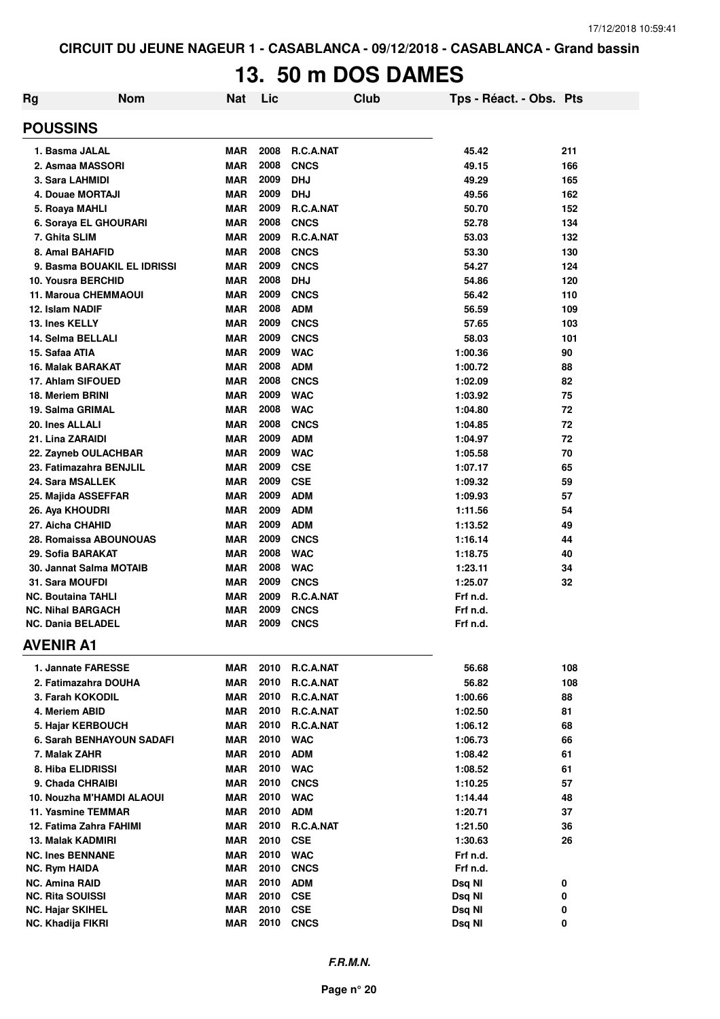# **13. 50 m DOS DAMES**

| <b>Rg</b> | <b>Nom</b>                                   | Nat                      | Lic          |                           | <b>Club</b> | Tps - Réact. - Obs. Pts |          |
|-----------|----------------------------------------------|--------------------------|--------------|---------------------------|-------------|-------------------------|----------|
|           | <b>POUSSINS</b>                              |                          |              |                           |             |                         |          |
|           | 1. Basma JALAL                               | <b>MAR</b>               | 2008         | R.C.A.NAT                 |             | 45.42                   | 211      |
|           | 2. Asmaa MASSORI                             | <b>MAR</b>               | 2008         | <b>CNCS</b>               |             | 49.15                   | 166      |
|           | 3. Sara LAHMIDI                              | <b>MAR</b>               | 2009         | <b>DHJ</b>                |             | 49.29                   | 165      |
|           | 4. Douae MORTAJI                             | <b>MAR</b>               | 2009         | <b>DHJ</b>                |             | 49.56                   | 162      |
|           | 5. Roaya MAHLI                               | <b>MAR</b>               | 2009         | R.C.A.NAT                 |             | 50.70                   | 152      |
|           | 6. Soraya EL GHOURARI                        | <b>MAR</b>               | 2008         | <b>CNCS</b>               |             | 52.78                   | 134      |
|           | 7. Ghita SLIM                                | <b>MAR</b>               | 2009         | R.C.A.NAT                 |             | 53.03                   | 132      |
|           | 8. Amal BAHAFID                              | <b>MAR</b>               | 2008         | <b>CNCS</b>               |             | 53.30                   | 130      |
|           | 9. Basma BOUAKIL EL IDRISSI                  | <b>MAR</b>               | 2009         | <b>CNCS</b>               |             | 54.27                   | 124      |
|           | 10. Yousra BERCHID                           | <b>MAR</b>               | 2008         | <b>DHJ</b>                |             | 54.86                   | 120      |
|           | 11. Maroua CHEMMAOUI                         | <b>MAR</b>               | 2009         | <b>CNCS</b>               |             | 56.42                   | 110      |
|           | 12. Islam NADIF                              | <b>MAR</b>               | 2008         | <b>ADM</b>                |             | 56.59                   | 109      |
|           | 13. Ines KELLY                               | <b>MAR</b>               | 2009         | <b>CNCS</b>               |             | 57.65                   | 103      |
|           | 14. Selma BELLALI                            | <b>MAR</b>               | 2009         | <b>CNCS</b>               |             | 58.03                   | 101      |
|           | 15. Safaa ATIA                               | <b>MAR</b>               | 2009         | <b>WAC</b>                |             | 1:00.36                 | 90       |
|           | 16. Malak BARAKAT                            | <b>MAR</b>               | 2008         | <b>ADM</b>                |             | 1:00.72                 | 88       |
|           | 17. Ahlam SIFOUED                            | <b>MAR</b>               | 2008         | <b>CNCS</b>               |             | 1:02.09                 | 82       |
|           | 18. Meriem BRINI                             | <b>MAR</b>               | 2009         | <b>WAC</b>                |             | 1:03.92                 | 75       |
|           | 19. Salma GRIMAL                             | <b>MAR</b>               | 2008<br>2008 | <b>WAC</b><br><b>CNCS</b> |             | 1:04.80                 | 72       |
|           | 20. Ines ALLALI<br>21. Lina ZARAIDI          | <b>MAR</b><br><b>MAR</b> | 2009         | <b>ADM</b>                |             | 1:04.85<br>1:04.97      | 72<br>72 |
|           | 22. Zayneb OULACHBAR                         | <b>MAR</b>               | 2009         | <b>WAC</b>                |             | 1:05.58                 | 70       |
|           | 23. Fatimazahra BENJLIL                      | <b>MAR</b>               | 2009         | <b>CSE</b>                |             | 1:07.17                 | 65       |
|           | 24. Sara MSALLEK                             | <b>MAR</b>               | 2009         | <b>CSE</b>                |             | 1:09.32                 | 59       |
|           | 25. Majida ASSEFFAR                          | <b>MAR</b>               | 2009         | <b>ADM</b>                |             | 1:09.93                 | 57       |
|           | 26. Aya KHOUDRI                              | <b>MAR</b>               | 2009         | <b>ADM</b>                |             | 1:11.56                 | 54       |
|           | 27. Aicha CHAHID                             | <b>MAR</b>               | 2009         | <b>ADM</b>                |             | 1:13.52                 | 49       |
|           | 28. Romaissa ABOUNOUAS                       | <b>MAR</b>               | 2009         | <b>CNCS</b>               |             | 1:16.14                 | 44       |
|           | 29. Sofia BARAKAT                            | <b>MAR</b>               | 2008         | <b>WAC</b>                |             | 1:18.75                 | 40       |
|           | 30. Jannat Salma MOTAIB                      | <b>MAR</b>               | 2008         | <b>WAC</b>                |             | 1:23.11                 | 34       |
|           | 31. Sara MOUFDI                              | <b>MAR</b>               | 2009         | <b>CNCS</b>               |             | 1:25.07                 | 32       |
|           | NC. Boutaina TAHLI                           | <b>MAR</b>               | 2009         | R.C.A.NAT                 |             | Frf n.d.                |          |
|           | <b>NC. Nihal BARGACH</b>                     | <b>MAR</b>               | 2009         | <b>CNCS</b>               |             | Frf n.d.                |          |
|           | NC. Dania BELADEL                            | <b>MAR</b>               | 2009         | <b>CNCS</b>               |             | Frf n.d.                |          |
|           | <b>AVENIR A1</b>                             |                          |              |                           |             |                         |          |
|           | 1. Jannate FARESSE                           | <b>MAR</b>               |              | 2010 R.C.A.NAT            |             | 56.68                   | 108      |
|           | 2. Fatimazahra DOUHA                         | MAR                      | 2010         | R.C.A.NAT                 |             | 56.82                   | 108      |
|           | 3. Farah KOKODIL                             | <b>MAR</b>               |              | 2010 R.C.A.NAT            |             | 1:00.66                 | 88       |
|           | 4. Meriem ABID                               | <b>MAR</b>               |              | 2010 R.C.A.NAT            |             | 1:02.50                 | 81       |
|           | 5. Hajar KERBOUCH                            | <b>MAR</b>               |              | 2010 R.C.A.NAT            |             | 1:06.12                 | 68       |
|           | 6. Sarah BENHAYOUN SADAFI                    | MAR                      |              | 2010 WAC                  |             | 1:06.73                 | 66       |
|           | 7. Malak ZAHR                                | <b>MAR</b>               | 2010 ADM     |                           |             | 1:08.42                 | 61       |
|           | 8. Hiba ELIDRISSI                            | <b>MAR</b>               |              | 2010 WAC                  |             | 1:08.52                 | 61       |
|           | 9. Chada CHRAIBI                             | <b>MAR</b>               | 2010         | <b>CNCS</b>               |             | 1:10.25                 | 57       |
|           | 10. Nouzha M'HAMDI ALAOUI                    | <b>MAR</b>               | 2010         | <b>WAC</b>                |             | 1:14.44                 | 48       |
|           | 11. Yasmine TEMMAR                           | <b>MAR</b>               |              | 2010 ADM                  |             | 1:20.71                 | 37       |
|           | 12. Fatima Zahra FAHIMI                      | <b>MAR</b>               | 2010         | R.C.A.NAT                 |             | 1:21.50                 | 36       |
|           | 13. Malak KADMIRI                            | <b>MAR</b>               | 2010         | <b>CSE</b>                |             | 1:30.63                 | 26       |
|           | <b>NC. Ines BENNANE</b>                      | <b>MAR</b>               | 2010         | <b>WAC</b>                |             | Frf n.d.                |          |
|           | NC. Rym HAIDA                                | <b>MAR</b>               | 2010         | <b>CNCS</b>               |             | Frf n.d.                |          |
|           | <b>NC. Amina RAID</b>                        | <b>MAR</b>               | 2010         | <b>ADM</b>                |             | Dsq NI                  | 0        |
|           | <b>NC. Rita SOUISSI</b>                      | <b>MAR</b><br><b>MAR</b> | 2010<br>2010 | <b>CSE</b>                |             | Dsq NI                  | 0        |
|           | <b>NC. Hajar SKIHEL</b><br>NC. Khadija FIKRI | <b>MAR</b>               | 2010         | <b>CSE</b><br><b>CNCS</b> |             | Dsq NI<br>Dsq NI        | 0<br>0   |
|           |                                              |                          |              |                           |             |                         |          |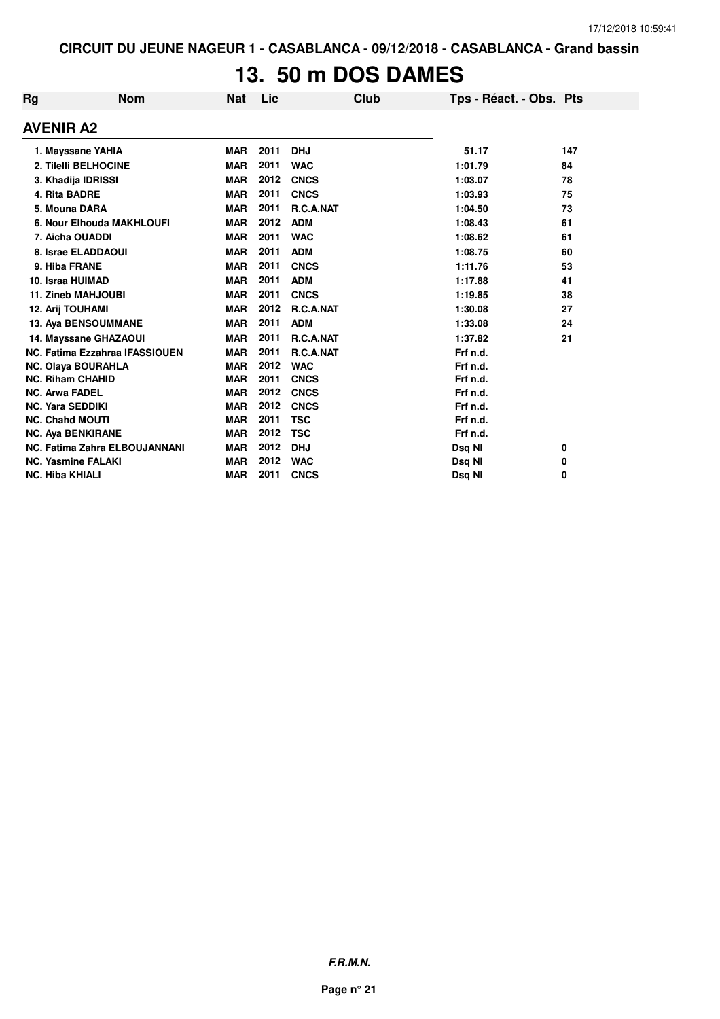# **13. 50 m DOS DAMES**

| Rg | <b>Nom</b>                     | <b>Nat</b> | Lic  | Club             | Tps - Réact. - Obs. Pts |     |
|----|--------------------------------|------------|------|------------------|-------------------------|-----|
|    | <b>AVENIR A2</b>               |            |      |                  |                         |     |
|    | 1. Mayssane YAHIA              | <b>MAR</b> | 2011 | <b>DHJ</b>       | 51.17                   | 147 |
|    | 2. Tilelli BELHOCINE           | <b>MAR</b> | 2011 | <b>WAC</b>       | 1:01.79                 | 84  |
|    | 3. Khadija IDRISSI             | <b>MAR</b> | 2012 | <b>CNCS</b>      | 1:03.07                 | 78  |
|    | 4. Rita BADRE                  | <b>MAR</b> | 2011 | <b>CNCS</b>      | 1:03.93                 | 75  |
|    | 5. Mouna DARA                  | <b>MAR</b> | 2011 | <b>R.C.A.NAT</b> | 1:04.50                 | 73  |
|    | 6. Nour Elhouda MAKHLOUFI      | <b>MAR</b> | 2012 | <b>ADM</b>       | 1:08.43                 | 61  |
|    | 7. Aicha OUADDI                | <b>MAR</b> | 2011 | <b>WAC</b>       | 1:08.62                 | 61  |
|    | 8. Israe ELADDAOUI             | <b>MAR</b> | 2011 | <b>ADM</b>       | 1:08.75                 | 60  |
|    | 9. Hiba FRANE                  | <b>MAR</b> | 2011 | <b>CNCS</b>      | 1:11.76                 | 53  |
|    | 10. Israa HUIMAD               | <b>MAR</b> | 2011 | <b>ADM</b>       | 1:17.88                 | 41  |
|    | <b>11. Zineb MAHJOUBI</b>      | <b>MAR</b> | 2011 | <b>CNCS</b>      | 1:19.85                 | 38  |
|    | 12. Arij TOUHAMI               | <b>MAR</b> | 2012 | R.C.A.NAT        | 1:30.08                 | 27  |
|    | 13. Aya BENSOUMMANE            | <b>MAR</b> | 2011 | <b>ADM</b>       | 1:33.08                 | 24  |
|    | 14. Mayssane GHAZAOUI          | <b>MAR</b> | 2011 | R.C.A.NAT        | 1:37.82                 | 21  |
|    | NC. Fatima Ezzahraa IFASSIOUEN | <b>MAR</b> | 2011 | R.C.A.NAT        | Frf n.d.                |     |
|    | <b>NC. Olaya BOURAHLA</b>      | <b>MAR</b> | 2012 | <b>WAC</b>       | Frf n.d.                |     |
|    | <b>NC. Riham CHAHID</b>        | <b>MAR</b> | 2011 | <b>CNCS</b>      | Frf n.d.                |     |
|    | <b>NC. Arwa FADEL</b>          | <b>MAR</b> | 2012 | <b>CNCS</b>      | Frf n.d.                |     |
|    | <b>NC. Yara SEDDIKI</b>        | <b>MAR</b> | 2012 | <b>CNCS</b>      | Frf n.d.                |     |
|    | <b>NC. Chahd MOUTI</b>         | <b>MAR</b> | 2011 | <b>TSC</b>       | Frf n.d.                |     |
|    | <b>NC. Aya BENKIRANE</b>       | <b>MAR</b> | 2012 | <b>TSC</b>       | Frf n.d.                |     |
|    | NC. Fatima Zahra ELBOUJANNANI  | <b>MAR</b> | 2012 | <b>DHJ</b>       | Dsq NI                  | 0   |
|    | <b>NC. Yasmine FALAKI</b>      | <b>MAR</b> | 2012 | <b>WAC</b>       | Dsq NI                  | 0   |
|    | <b>NC. Hiba KHIALI</b>         | <b>MAR</b> | 2011 | <b>CNCS</b>      | Dsq NI                  | 0   |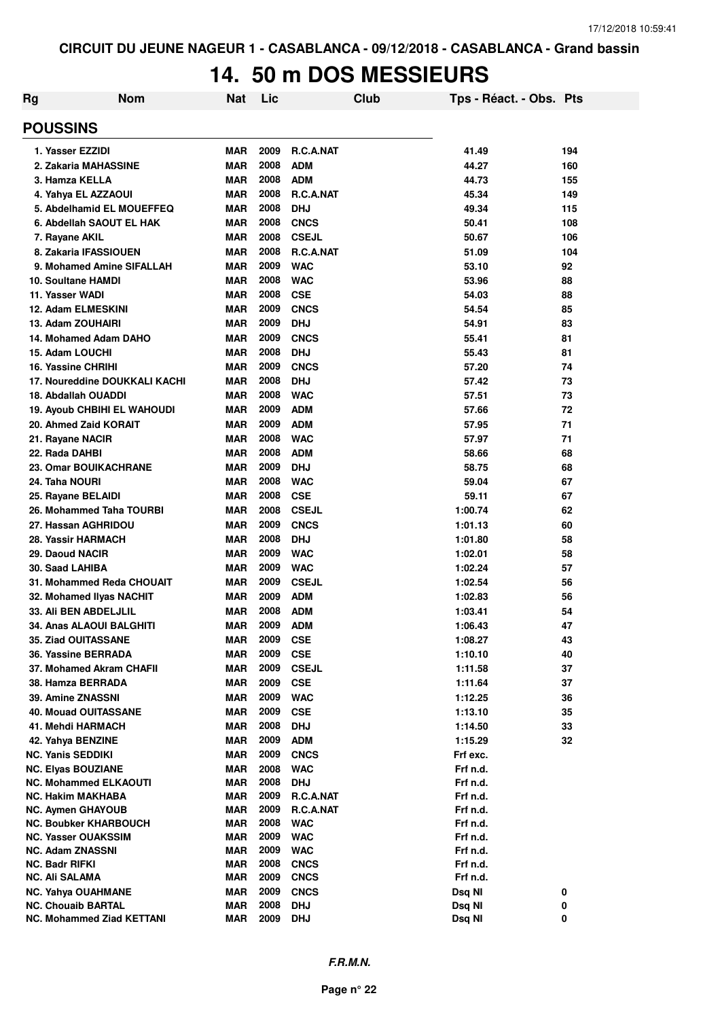# **14. 50 m DOS MESSIEURS**

| Rg | <b>Nom</b>                                             | Nat                      | Lic          | Club                       | Tps - Réact. - Obs. Pts |          |
|----|--------------------------------------------------------|--------------------------|--------------|----------------------------|-------------------------|----------|
|    | <b>POUSSINS</b>                                        |                          |              |                            |                         |          |
|    | 1. Yasser EZZIDI                                       | MAR                      | 2009         | R.C.A.NAT                  | 41.49                   | 194      |
|    | 2. Zakaria MAHASSINE                                   | <b>MAR</b>               | 2008         | <b>ADM</b>                 | 44.27                   | 160      |
|    | 3. Hamza KELLA                                         | <b>MAR</b>               | 2008         | <b>ADM</b>                 | 44.73                   | 155      |
|    | 4. Yahya EL AZZAOUI                                    | <b>MAR</b>               | 2008         | R.C.A.NAT                  | 45.34                   | 149      |
|    | 5. Abdelhamid EL MOUEFFEQ                              | <b>MAR</b>               | 2008         | <b>DHJ</b>                 | 49.34                   | 115      |
|    | 6. Abdellah SAOUT EL HAK                               | <b>MAR</b>               | 2008         | <b>CNCS</b>                | 50.41                   | 108      |
|    | 7. Rayane AKIL                                         | <b>MAR</b>               | 2008         | <b>CSEJL</b>               | 50.67                   | 106      |
|    | 8. Zakaria IFASSIOUEN                                  | <b>MAR</b>               | 2008         | <b>R.C.A.NAT</b>           | 51.09                   | 104      |
|    | 9. Mohamed Amine SIFALLAH                              | <b>MAR</b>               | 2009         | <b>WAC</b>                 | 53.10                   | 92       |
|    | <b>10. Soultane HAMDI</b>                              | <b>MAR</b>               | 2008         | <b>WAC</b>                 | 53.96                   | 88       |
|    | 11. Yasser WADI                                        | <b>MAR</b>               | 2008         | <b>CSE</b>                 | 54.03                   | 88       |
|    | 12. Adam ELMESKINI                                     | <b>MAR</b>               | 2009         | <b>CNCS</b>                | 54.54                   | 85       |
|    | 13. Adam ZOUHAIRI                                      | <b>MAR</b>               | 2009         | <b>DHJ</b>                 | 54.91                   | 83       |
|    | 14. Mohamed Adam DAHO                                  | <b>MAR</b>               | 2009         | <b>CNCS</b>                | 55.41                   | 81       |
|    | 15. Adam LOUCHI                                        | <b>MAR</b>               | 2008         | <b>DHJ</b>                 | 55.43                   | 81       |
|    | 16. Yassine CHRIHI                                     | <b>MAR</b>               | 2009         | <b>CNCS</b>                | 57.20                   | 74       |
|    | 17. Noureddine DOUKKALI KACHI                          | MAR                      | 2008         | <b>DHJ</b>                 | 57.42                   | 73       |
|    | 18. Abdallah OUADDI                                    | MAR                      | 2008         | <b>WAC</b>                 | 57.51                   | 73       |
|    | <b>19. Ayoub CHBIHI EL WAHOUDI</b>                     | MAR                      | 2009         | <b>ADM</b>                 | 57.66                   | 72       |
|    | 20. Ahmed Zaid KORAIT                                  | <b>MAR</b>               | 2009         | <b>ADM</b>                 | 57.95                   | 71       |
|    | 21. Rayane NACIR                                       | <b>MAR</b>               | 2008         | <b>WAC</b>                 | 57.97                   | 71       |
|    | 22. Rada DAHBI                                         | <b>MAR</b>               | 2008         | <b>ADM</b>                 | 58.66                   | 68       |
|    | <b>23. Omar BOUIKACHRANE</b>                           | <b>MAR</b>               | 2009         | <b>DHJ</b>                 | 58.75                   | 68       |
|    | 24. Taha NOURI                                         | <b>MAR</b>               | 2008         | <b>WAC</b>                 | 59.04                   | 67       |
|    | 25. Rayane BELAIDI                                     | <b>MAR</b>               | 2008         | <b>CSE</b>                 | 59.11                   | 67       |
|    | 26. Mohammed Taha TOURBI                               | <b>MAR</b>               | 2008         | <b>CSEJL</b>               | 1:00.74                 | 62       |
|    | 27. Hassan AGHRIDOU                                    | <b>MAR</b>               | 2009         | <b>CNCS</b>                | 1:01.13                 | 60       |
|    | 28. Yassir HARMACH                                     | <b>MAR</b>               | 2008         | <b>DHJ</b>                 | 1:01.80                 | 58       |
|    | 29. Daoud NACIR                                        | <b>MAR</b>               | 2009         | <b>WAC</b>                 | 1:02.01                 | 58       |
|    | 30. Saad LAHIBA                                        | <b>MAR</b>               | 2009<br>2009 | <b>WAC</b>                 | 1:02.24                 | 57       |
|    | 31. Mohammed Reda CHOUAIT                              | <b>MAR</b>               | 2009         | <b>CSEJL</b><br><b>ADM</b> | 1:02.54                 | 56       |
|    | 32. Mohamed Ilyas NACHIT<br>33. Ali BEN ABDELJLIL      | <b>MAR</b><br><b>MAR</b> | 2008         | <b>ADM</b>                 | 1:02.83<br>1:03.41      | 56<br>54 |
|    | 34. Anas ALAOUI BALGHITI                               | <b>MAR</b>               | 2009         | <b>ADM</b>                 | 1:06.43                 | 47       |
|    | 35. Ziad OUITASSANE                                    | <b>MAR</b>               | 2009         | <b>CSE</b>                 | 1:08.27                 | 43       |
|    | 36. Yassine BERRADA                                    | <b>MAR</b>               | 2009         | <b>CSE</b>                 | 1:10.10                 | 40       |
|    | 37. Mohamed Akram CHAFII                               | <b>MAR</b>               | 2009         | <b>CSEJL</b>               | 1:11.58                 | 37       |
|    | 38. Hamza BERRADA                                      | <b>MAR</b>               | 2009         | <b>CSE</b>                 | 1:11.64                 | 37       |
|    | 39. Amine ZNASSNI                                      | <b>MAR</b>               | 2009         | <b>WAC</b>                 | 1:12.25                 | 36       |
|    | <b>40. Mouad OUITASSANE</b>                            | <b>MAR</b>               | 2009         | <b>CSE</b>                 | 1:13.10                 | 35       |
|    | 41. Mehdi HARMACH                                      | <b>MAR</b>               | 2008         | <b>DHJ</b>                 | 1:14.50                 | 33       |
|    | 42. Yahya BENZINE                                      | <b>MAR</b>               | 2009         | <b>ADM</b>                 | 1:15.29                 | 32       |
|    | <b>NC. Yanis SEDDIKI</b>                               | <b>MAR</b>               | 2009         | <b>CNCS</b>                | Frf exc.                |          |
|    | <b>NC. Elyas BOUZIANE</b>                              | <b>MAR</b>               | 2008         | <b>WAC</b>                 | Frf n.d.                |          |
|    | <b>NC. Mohammed ELKAOUTI</b>                           | <b>MAR</b>               | 2008         | <b>DHJ</b>                 | Frf n.d.                |          |
|    | <b>NC. Hakim MAKHABA</b>                               | <b>MAR</b>               | 2009         | R.C.A.NAT                  | Frf n.d.                |          |
|    | <b>NC. Aymen GHAYOUB</b>                               | <b>MAR</b>               | 2009         | R.C.A.NAT                  | Frf n.d.                |          |
|    | <b>NC. Boubker KHARBOUCH</b>                           | MAR                      | 2008         | <b>WAC</b>                 | Frf n.d.                |          |
|    | <b>NC. Yasser OUAKSSIM</b>                             | <b>MAR</b>               | 2009         | <b>WAC</b>                 | Frf n.d.                |          |
|    | <b>NC. Adam ZNASSNI</b>                                | <b>MAR</b>               | 2009         | <b>WAC</b>                 | Frf n.d.                |          |
|    | <b>NC. Badr RIFKI</b>                                  | MAR                      | 2008<br>2009 | <b>CNCS</b>                | Frf n.d.                |          |
|    | NC. Ali SALAMA                                         | <b>MAR</b>               | 2009         | <b>CNCS</b>                | Frf n.d.                |          |
|    | <b>NC. Yahya OUAHMANE</b><br><b>NC. Chouaib BARTAL</b> | MAR<br><b>MAR</b>        | 2008         | <b>CNCS</b><br><b>DHJ</b>  | Dsq NI<br>Dsq NI        | 0<br>0   |
|    | <b>NC. Mohammed Ziad KETTANI</b>                       | <b>MAR</b>               | 2009         | <b>DHJ</b>                 | Dsq NI                  | 0        |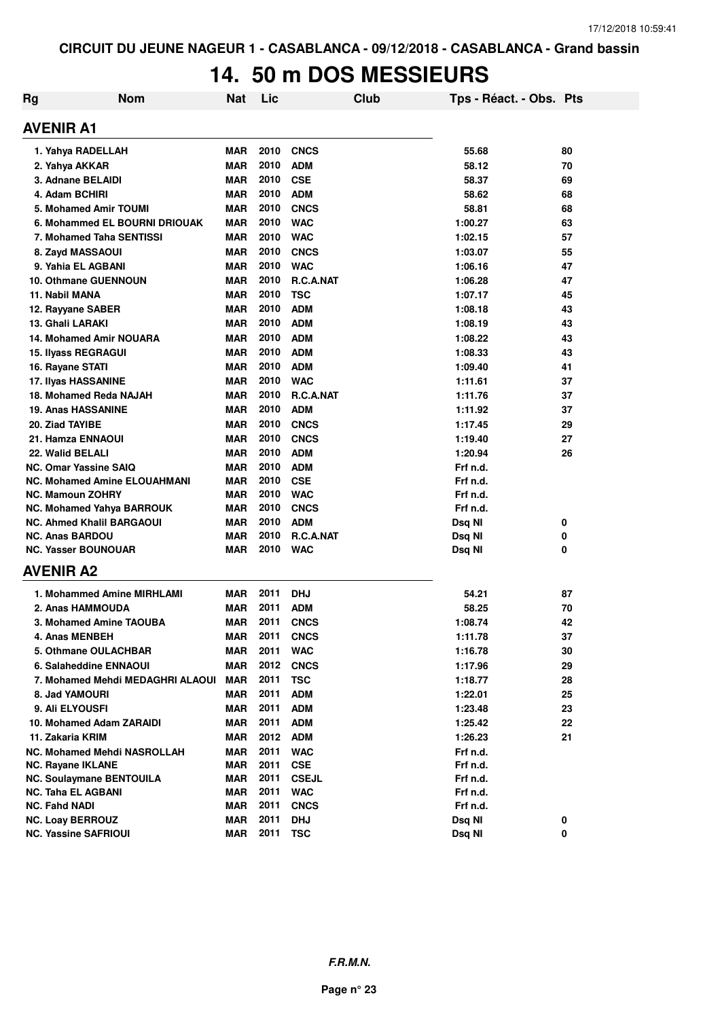#### **14. 50 m DOS MESSIEURS**

| Rg | <b>Nom</b>                          | <b>Nat</b> | Lic  | Club             | Tps - Réact. - Obs. Pts |    |
|----|-------------------------------------|------------|------|------------------|-------------------------|----|
|    | <b>AVENIR A1</b>                    |            |      |                  |                         |    |
|    | 1. Yahya RADELLAH                   | <b>MAR</b> | 2010 | <b>CNCS</b>      | 55.68                   | 80 |
|    | 2. Yahya AKKAR                      | <b>MAR</b> | 2010 | <b>ADM</b>       | 58.12                   | 70 |
|    | 3. Adnane BELAIDI                   | <b>MAR</b> | 2010 | <b>CSE</b>       | 58.37                   | 69 |
|    | 4. Adam BCHIRI                      | <b>MAR</b> | 2010 | <b>ADM</b>       | 58.62                   | 68 |
|    | 5. Mohamed Amir TOUMI               | <b>MAR</b> | 2010 | <b>CNCS</b>      | 58.81                   | 68 |
|    | 6. Mohammed EL BOURNI DRIOUAK       | <b>MAR</b> | 2010 | <b>WAC</b>       | 1:00.27                 | 63 |
|    | 7. Mohamed Taha SENTISSI            | <b>MAR</b> | 2010 | <b>WAC</b>       | 1:02.15                 | 57 |
|    | 8. Zayd MASSAOUI                    | <b>MAR</b> | 2010 | <b>CNCS</b>      | 1:03.07                 | 55 |
|    | 9. Yahia EL AGBANI                  | <b>MAR</b> | 2010 | <b>WAC</b>       | 1:06.16                 | 47 |
|    | <b>10. Othmane GUENNOUN</b>         | <b>MAR</b> | 2010 | <b>R.C.A.NAT</b> | 1:06.28                 | 47 |
|    | 11. Nabil MANA                      | <b>MAR</b> | 2010 | <b>TSC</b>       | 1:07.17                 | 45 |
|    | 12. Rayyane SABER                   | <b>MAR</b> | 2010 | <b>ADM</b>       | 1:08.18                 | 43 |
|    | 13. Ghali LARAKI                    | <b>MAR</b> | 2010 | <b>ADM</b>       | 1:08.19                 | 43 |
|    | <b>14. Mohamed Amir NOUARA</b>      | <b>MAR</b> | 2010 | <b>ADM</b>       | 1:08.22                 | 43 |
|    | 15. Ilyass REGRAGUI                 | <b>MAR</b> | 2010 | <b>ADM</b>       | 1:08.33                 | 43 |
|    | 16. Rayane STATI                    | <b>MAR</b> | 2010 | <b>ADM</b>       | 1:09.40                 | 41 |
|    | 17. Ilyas HASSANINE                 | <b>MAR</b> | 2010 | <b>WAC</b>       | 1:11.61                 | 37 |
|    | 18. Mohamed Reda NAJAH              | <b>MAR</b> | 2010 | R.C.A.NAT        | 1:11.76                 | 37 |
|    | <b>19. Anas HASSANINE</b>           | <b>MAR</b> | 2010 | <b>ADM</b>       | 1:11.92                 | 37 |
|    | 20. Ziad TAYIBE                     | <b>MAR</b> | 2010 | <b>CNCS</b>      | 1:17.45                 | 29 |
|    | 21. Hamza ENNAOUI                   | <b>MAR</b> | 2010 | <b>CNCS</b>      | 1:19.40                 | 27 |
|    | 22. Walid BELALI                    | <b>MAR</b> | 2010 | <b>ADM</b>       | 1:20.94                 | 26 |
|    | <b>NC. Omar Yassine SAIQ</b>        | <b>MAR</b> | 2010 | <b>ADM</b>       | Frf n.d.                |    |
|    | <b>NC. Mohamed Amine ELOUAHMANI</b> | <b>MAR</b> | 2010 | <b>CSE</b>       | Frf n.d.                |    |
|    | <b>NC. Mamoun ZOHRY</b>             | <b>MAR</b> | 2010 | <b>WAC</b>       | Frf n.d.                |    |
|    | <b>NC. Mohamed Yahya BARROUK</b>    | <b>MAR</b> | 2010 | <b>CNCS</b>      | Frf n.d.                |    |
|    | <b>NC. Ahmed Khalil BARGAOUI</b>    | <b>MAR</b> | 2010 | <b>ADM</b>       | Dsq NI                  | 0  |
|    | <b>NC. Anas BARDOU</b>              | MAR        | 2010 | R.C.A.NAT        | Dsq NI                  | 0  |
|    | <b>NC. Yasser BOUNOUAR</b>          | <b>MAR</b> | 2010 | <b>WAC</b>       | Dsq NI                  | 0  |
|    | <b>AVENIR A2</b>                    |            |      |                  |                         |    |
|    | 1. Mohammed Amine MIRHLAMI          | MAR        | 2011 | <b>DHJ</b>       | 54.21                   | 87 |
|    | 2. Anas HAMMOUDA                    | MAR        | 2011 | ADM              | 58.25                   | 70 |
|    | 3. Mohamed Amine TAOUBA             | MAR        | 2011 | <b>CNCS</b>      | 1:08.74                 | 42 |
|    | 4. Anas MENBEH                      | <b>MAR</b> | 2011 | <b>CNCS</b>      | 1:11.78                 | 37 |
|    | 5. Othmane OULACHBAR                | MAR        | 2011 | <b>WAC</b>       | 1:16.78                 | 30 |
|    | 6. Salaheddine ENNAOUI              | <b>MAR</b> | 2012 | <b>CNCS</b>      | 1:17.96                 | 29 |
|    | 7. Mohamed Mehdi MEDAGHRI ALAOUI    | <b>MAR</b> | 2011 | TSC              | 1:18.77                 | 28 |
|    | 8. Jad YAMOURI                      | <b>MAR</b> | 2011 | <b>ADM</b>       | 1:22.01                 | 25 |
|    | 9. Ali ELYOUSFI                     | MAR        | 2011 | <b>ADM</b>       | 1:23.48                 | 23 |
|    | 10. Mohamed Adam ZARAIDI            | <b>MAR</b> | 2011 | <b>ADM</b>       | 1:25.42                 | 22 |
|    | 11. Zakaria KRIM                    | <b>MAR</b> | 2012 | <b>ADM</b>       | 1:26.23                 | 21 |
|    | <b>NC. Mohamed Mehdi NASROLLAH</b>  | <b>MAR</b> | 2011 | <b>WAC</b>       | Frf n.d.                |    |
|    | NC. Rayane IKLANE                   | MAR        | 2011 | <b>CSE</b>       | Frf n.d.                |    |
|    | <b>NC. Soulaymane BENTOUILA</b>     | MAR        | 2011 | <b>CSEJL</b>     | Frf n.d.                |    |
|    | <b>NC. Taha EL AGBANI</b>           | MAR        | 2011 | <b>WAC</b>       | Frf n.d.                |    |
|    | <b>NC. Fahd NADI</b>                | MAR        | 2011 | <b>CNCS</b>      | Frf n.d.                |    |
|    | <b>NC. Loay BERROUZ</b>             | <b>MAR</b> | 2011 | <b>DHJ</b>       | Dsq NI                  | 0  |
|    | <b>NC. Yassine SAFRIOUI</b>         | MAR        | 2011 | <b>TSC</b>       | Dsq NI                  | 0  |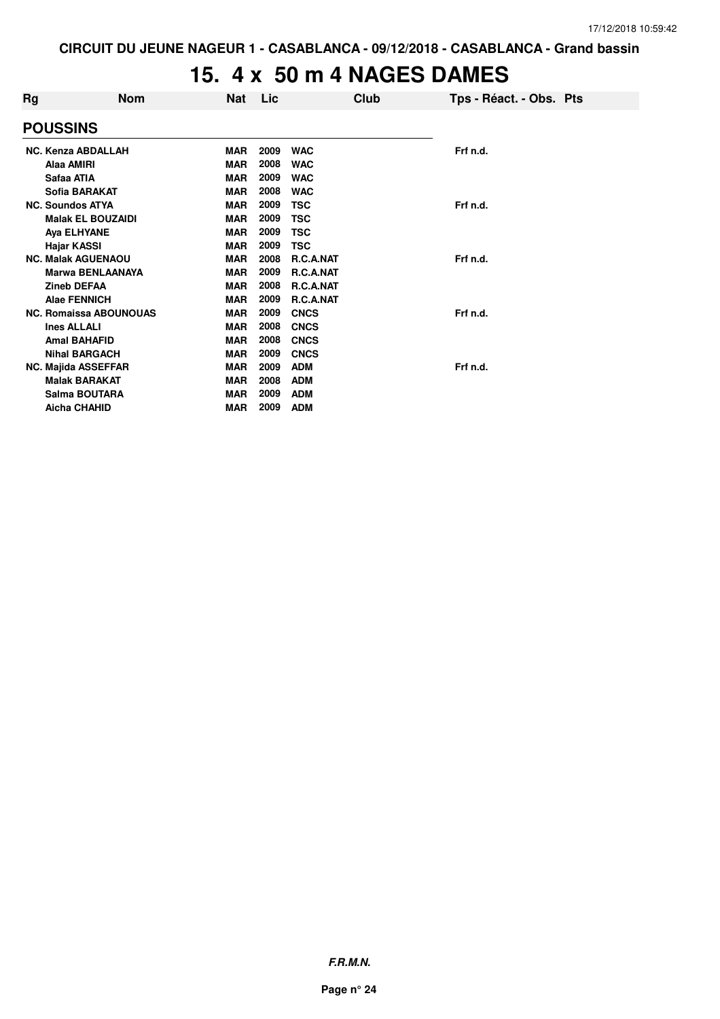### **15. 4 x 50 m 4 NAGES DAMES**

| Rg | <b>Nom</b>                    | Nat        | Lic  |                  | Club | Tps - Réact. - Obs. Pts |
|----|-------------------------------|------------|------|------------------|------|-------------------------|
|    | <b>POUSSINS</b>               |            |      |                  |      |                         |
|    | <b>NC. Kenza ABDALLAH</b>     | <b>MAR</b> | 2009 | <b>WAC</b>       |      | Frf n.d.                |
|    | Alaa AMIRI                    | <b>MAR</b> | 2008 | <b>WAC</b>       |      |                         |
|    | Safaa ATIA                    | <b>MAR</b> | 2009 | <b>WAC</b>       |      |                         |
|    | Sofia BARAKAT                 | <b>MAR</b> | 2008 | <b>WAC</b>       |      |                         |
|    | <b>NC. Soundos ATYA</b>       | <b>MAR</b> | 2009 | <b>TSC</b>       |      | Frf n.d.                |
|    | <b>Malak EL BOUZAIDI</b>      | <b>MAR</b> | 2009 | <b>TSC</b>       |      |                         |
|    | Aya ELHYANE                   | <b>MAR</b> | 2009 | <b>TSC</b>       |      |                         |
|    | Hajar KASSI                   | <b>MAR</b> | 2009 | <b>TSC</b>       |      |                         |
|    | <b>NC. Malak AGUENAOU</b>     | <b>MAR</b> | 2008 | <b>R.C.A.NAT</b> |      | Frf n.d.                |
|    | <b>Marwa BENLAANAYA</b>       | <b>MAR</b> | 2009 | R.C.A.NAT        |      |                         |
|    | <b>Zineb DEFAA</b>            | <b>MAR</b> | 2008 | R.C.A.NAT        |      |                         |
|    | <b>Alae FENNICH</b>           | <b>MAR</b> | 2009 | R.C.A.NAT        |      |                         |
|    | <b>NC. Romaissa ABOUNOUAS</b> | <b>MAR</b> | 2009 | <b>CNCS</b>      |      | Frf n.d.                |
|    | <b>Ines ALLALI</b>            | <b>MAR</b> | 2008 | <b>CNCS</b>      |      |                         |
|    | <b>Amal BAHAFID</b>           | <b>MAR</b> | 2008 | <b>CNCS</b>      |      |                         |
|    | <b>Nihal BARGACH</b>          | <b>MAR</b> | 2009 | <b>CNCS</b>      |      |                         |
|    | <b>NC. Majida ASSEFFAR</b>    | <b>MAR</b> | 2009 | <b>ADM</b>       |      | Frf n.d.                |
|    | <b>Malak BARAKAT</b>          | <b>MAR</b> | 2008 | <b>ADM</b>       |      |                         |
|    | Salma BOUTARA                 | <b>MAR</b> | 2009 | <b>ADM</b>       |      |                         |
|    | <b>Aicha CHAHID</b>           | MAR        | 2009 | <b>ADM</b>       |      |                         |